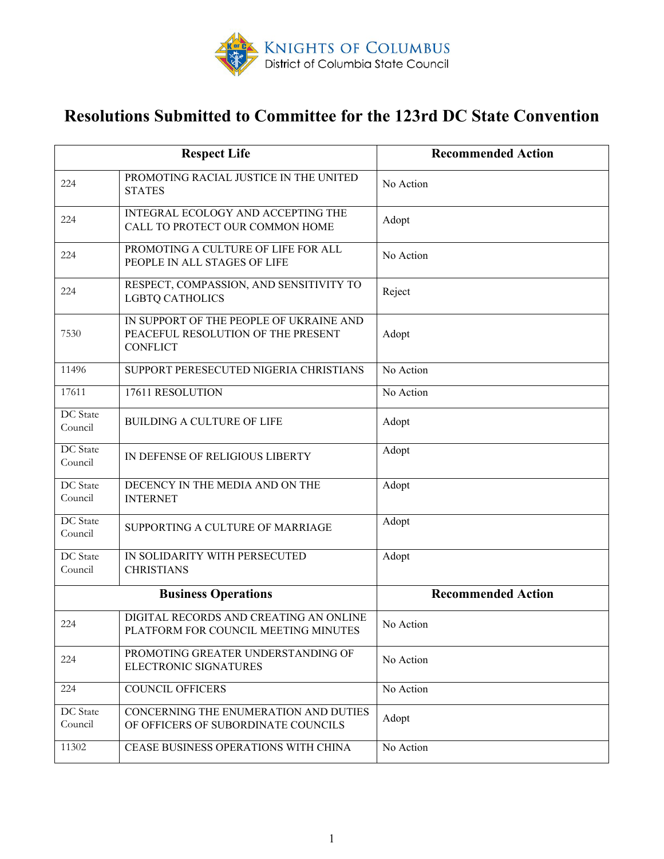

# **Resolutions Submitted to Committee for the 123rd DC State Convention**

|                            | <b>Respect Life</b>                                                                              | <b>Recommended Action</b> |
|----------------------------|--------------------------------------------------------------------------------------------------|---------------------------|
| 224                        | PROMOTING RACIAL JUSTICE IN THE UNITED<br><b>STATES</b>                                          | No Action                 |
| 224                        | <b>INTEGRAL ECOLOGY AND ACCEPTING THE</b><br>CALL TO PROTECT OUR COMMON HOME                     | Adopt                     |
| 224                        | PROMOTING A CULTURE OF LIFE FOR ALL<br>PEOPLE IN ALL STAGES OF LIFE                              | No Action                 |
| 224                        | RESPECT, COMPASSION, AND SENSITIVITY TO<br><b>LGBTQ CATHOLICS</b>                                | Reject                    |
| 7530                       | IN SUPPORT OF THE PEOPLE OF UKRAINE AND<br>PEACEFUL RESOLUTION OF THE PRESENT<br><b>CONFLICT</b> | Adopt                     |
| 11496                      | SUPPORT PERESECUTED NIGERIA CHRISTIANS                                                           | No Action                 |
| 17611                      | 17611 RESOLUTION                                                                                 | No Action                 |
| DC State<br>Council        | <b>BUILDING A CULTURE OF LIFE</b>                                                                | Adopt                     |
| DC State<br>Council        | IN DEFENSE OF RELIGIOUS LIBERTY                                                                  | Adopt                     |
| <b>DC</b> State<br>Council | DECENCY IN THE MEDIA AND ON THE<br><b>INTERNET</b>                                               | Adopt                     |
| DC State<br>Council        | SUPPORTING A CULTURE OF MARRIAGE                                                                 | Adopt                     |
| DC State<br>Council        | IN SOLIDARITY WITH PERSECUTED<br><b>CHRISTIANS</b>                                               | Adopt                     |
|                            | <b>Business Operations</b>                                                                       | <b>Recommended Action</b> |
| 224                        | DIGITAL RECORDS AND CREATING AN ONLINE<br>PLATFORM FOR COUNCIL MEETING MINUTES                   | No Action                 |
| 224                        | PROMOTING GREATER UNDERSTANDING OF<br><b>ELECTRONIC SIGNATURES</b>                               | No Action                 |
| 224                        | <b>COUNCIL OFFICERS</b>                                                                          | No Action                 |
| DC State<br>Council        | CONCERNING THE ENUMERATION AND DUTIES<br>OF OFFICERS OF SUBORDINATE COUNCILS                     | Adopt                     |
| 11302                      | CEASE BUSINESS OPERATIONS WITH CHINA                                                             | No Action                 |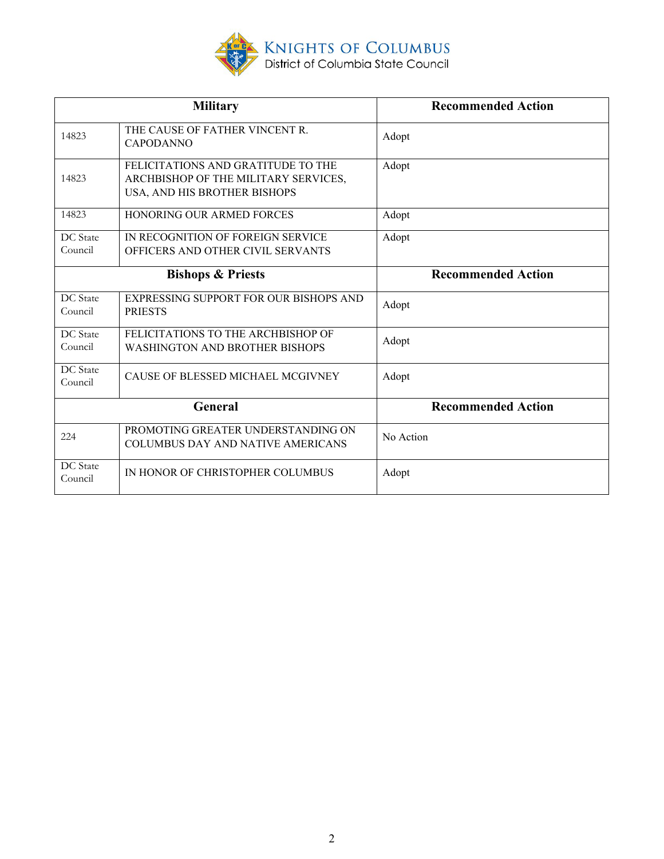

|                            | <b>Military</b>                                                                                            | <b>Recommended Action</b> |
|----------------------------|------------------------------------------------------------------------------------------------------------|---------------------------|
| 14823                      | THE CAUSE OF FATHER VINCENT R.<br><b>CAPODANNO</b>                                                         | Adopt                     |
| 14823                      | FELICITATIONS AND GRATITUDE TO THE<br>ARCHBISHOP OF THE MILITARY SERVICES,<br>USA, AND HIS BROTHER BISHOPS | Adopt                     |
| 14823                      | HONORING OUR ARMED FORCES                                                                                  | Adopt                     |
| DC State<br>Council        | IN RECOGNITION OF FOREIGN SERVICE<br>OFFICERS AND OTHER CIVIL SERVANTS                                     | Adopt                     |
|                            | <b>Bishops &amp; Priests</b>                                                                               | <b>Recommended Action</b> |
| <b>DC</b> State<br>Council | EXPRESSING SUPPORT FOR OUR BISHOPS AND<br><b>PRIESTS</b>                                                   | Adopt                     |
| DC State<br>Council        | FELICITATIONS TO THE ARCHBISHOP OF<br><b>WASHINGTON AND BROTHER BISHOPS</b>                                | Adopt                     |
| <b>DC</b> State<br>Council | CAUSE OF BLESSED MICHAEL MCGIVNEY                                                                          | Adopt                     |
|                            | General                                                                                                    | <b>Recommended Action</b> |
| 224                        | PROMOTING GREATER UNDERSTANDING ON<br><b>COLUMBUS DAY AND NATIVE AMERICANS</b>                             | No Action                 |
| DC State<br>Council        | IN HONOR OF CHRISTOPHER COLUMBUS                                                                           | Adopt                     |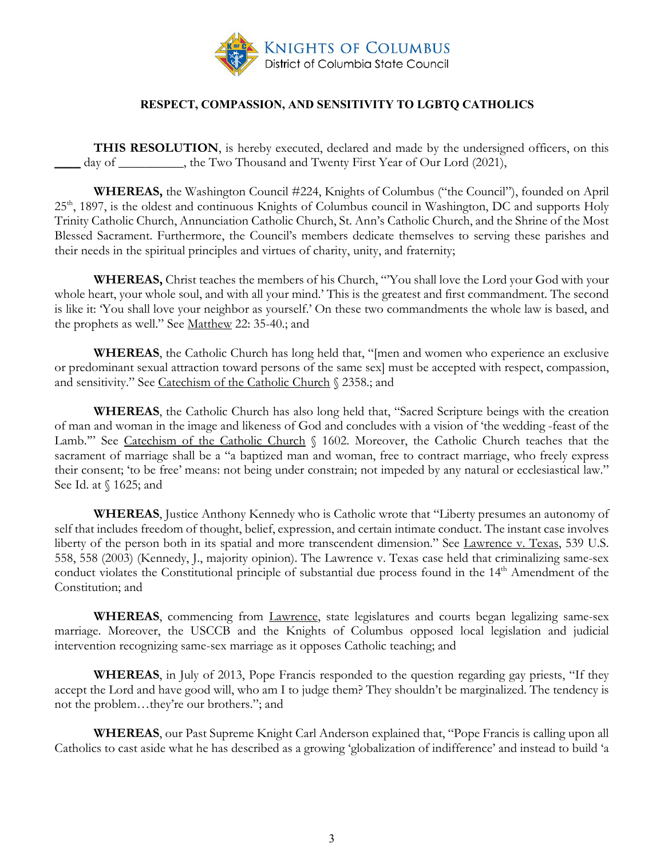

#### **RESPECT, COMPASSION, AND SENSITIVITY TO LGBTQ CATHOLICS**

<span id="page-2-0"></span>**THIS RESOLUTION**, is hereby executed, declared and made by the undersigned officers, on this day of \_\_\_\_\_\_\_\_\_, the Two Thousand and Twenty First Year of Our Lord (2021),

**WHEREAS,** the Washington Council #224, Knights of Columbus ("the Council"), founded on April 25<sup>th</sup>, 1897, is the oldest and continuous Knights of Columbus council in Washington, DC and supports Holy Trinity Catholic Church, Annunciation Catholic Church, St. Ann's Catholic Church, and the Shrine of the Most Blessed Sacrament. Furthermore, the Council's members dedicate themselves to serving these parishes and their needs in the spiritual principles and virtues of charity, unity, and fraternity;

**WHEREAS,** Christ teaches the members of his Church, "'You shall love the Lord your God with your whole heart, your whole soul, and with all your mind.' This is the greatest and first commandment. The second is like it: 'You shall love your neighbor as yourself.' On these two commandments the whole law is based, and the prophets as well." See Matthew 22: 35-40.; and

**WHEREAS**, the Catholic Church has long held that, "[men and women who experience an exclusive or predominant sexual attraction toward persons of the same sex] must be accepted with respect, compassion, and sensitivity." See Catechism of the Catholic Church § 2358.; and

**WHEREAS**, the Catholic Church has also long held that, "Sacred Scripture beings with the creation of man and woman in the image and likeness of God and concludes with a vision of 'the wedding -feast of the Lamb."" See Catechism of the Catholic Church § 1602. Moreover, the Catholic Church teaches that the sacrament of marriage shall be a "a baptized man and woman, free to contract marriage, who freely express their consent; 'to be free' means: not being under constrain; not impeded by any natural or ecclesiastical law." See Id. at § 1625; and

**WHEREAS**, Justice Anthony Kennedy who is Catholic wrote that "Liberty presumes an autonomy of self that includes freedom of thought, belief, expression, and certain intimate conduct. The instant case involves liberty of the person both in its spatial and more transcendent dimension." See Lawrence v. Texas, 539 U.S. 558, 558 (2003) (Kennedy, J., majority opinion). The Lawrence v. Texas case held that criminalizing same-sex conduct violates the Constitutional principle of substantial due process found in the 14<sup>th</sup> Amendment of the Constitution; and

**WHEREAS**, commencing from Lawrence, state legislatures and courts began legalizing same-sex marriage. Moreover, the USCCB and the Knights of Columbus opposed local legislation and judicial intervention recognizing same-sex marriage as it opposes Catholic teaching; and

**WHEREAS**, in July of 2013, Pope Francis responded to the question regarding gay priests, "If they accept the Lord and have good will, who am I to judge them? They shouldn't be marginalized. The tendency is not the problem…they're our brothers."; and

**WHEREAS**, our Past Supreme Knight Carl Anderson explained that, "Pope Francis is calling upon all Catholics to cast aside what he has described as a growing 'globalization of indifference' and instead to build 'a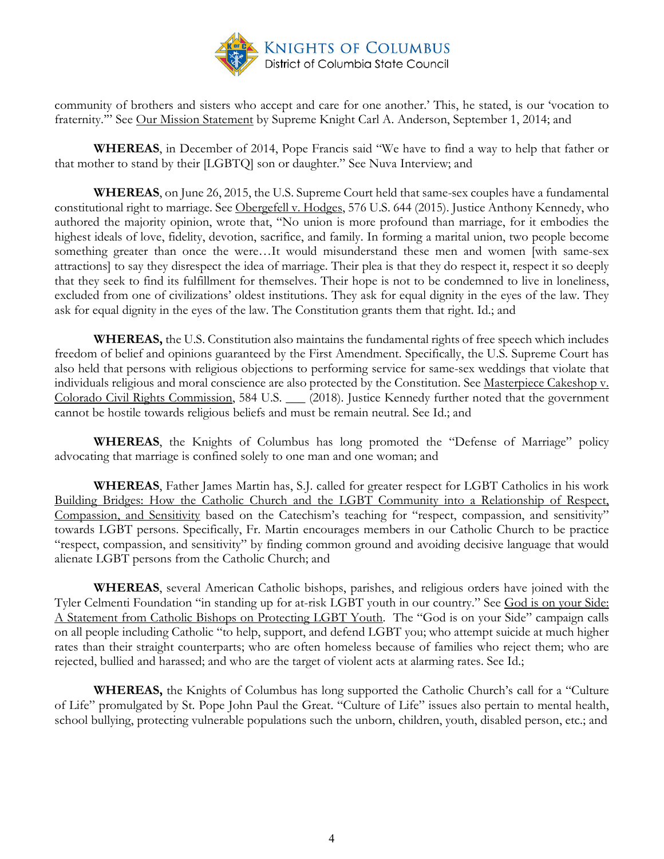

community of brothers and sisters who accept and care for one another.' This, he stated, is our 'vocation to fraternity." See Our Mission Statement by Supreme Knight Carl A. Anderson, September 1, 2014; and

**WHEREAS**, in December of 2014, Pope Francis said "We have to find a way to help that father or that mother to stand by their [LGBTQ] son or daughter." See Nuva Interview; and

**WHEREAS**, on June 26, 2015, the U.S. Supreme Court held that same-sex couples have a fundamental constitutional right to marriage. See Obergefell v. Hodges, 576 U.S. 644 (2015). Justice Anthony Kennedy, who authored the majority opinion, wrote that, "No union is more profound than marriage, for it embodies the highest ideals of love, fidelity, devotion, sacrifice, and family. In forming a marital union, two people become something greater than once the were…It would misunderstand these men and women [with same-sex attractions] to say they disrespect the idea of marriage. Their plea is that they do respect it, respect it so deeply that they seek to find its fulfillment for themselves. Their hope is not to be condemned to live in loneliness, excluded from one of civilizations' oldest institutions. They ask for equal dignity in the eyes of the law. They ask for equal dignity in the eyes of the law. The Constitution grants them that right. Id.; and

**WHEREAS,** the U.S. Constitution also maintains the fundamental rights of free speech which includes freedom of belief and opinions guaranteed by the First Amendment. Specifically, the U.S. Supreme Court has also held that persons with religious objections to performing service for same-sex weddings that violate that individuals religious and moral conscience are also protected by the Constitution. See Masterpiece Cakeshop v. Colorado Civil Rights Commission, 584 U.S. \_\_\_ (2018). Justice Kennedy further noted that the government cannot be hostile towards religious beliefs and must be remain neutral. See Id.; and

**WHEREAS**, the Knights of Columbus has long promoted the "Defense of Marriage" policy advocating that marriage is confined solely to one man and one woman; and

**WHEREAS**, Father James Martin has, S.J. called for greater respect for LGBT Catholics in his work Building Bridges: How the Catholic Church and the LGBT Community into a Relationship of Respect, Compassion, and Sensitivity based on the Catechism's teaching for "respect, compassion, and sensitivity" towards LGBT persons. Specifically, Fr. Martin encourages members in our Catholic Church to be practice "respect, compassion, and sensitivity" by finding common ground and avoiding decisive language that would alienate LGBT persons from the Catholic Church; and

**WHEREAS**, several American Catholic bishops, parishes, and religious orders have joined with the Tyler Celmenti Foundation "in standing up for at-risk LGBT youth in our country." See God is on your Side: A Statement from Catholic Bishops on Protecting LGBT Youth. The "God is on your Side" campaign calls on all people including Catholic "to help, support, and defend LGBT you; who attempt suicide at much higher rates than their straight counterparts; who are often homeless because of families who reject them; who are rejected, bullied and harassed; and who are the target of violent acts at alarming rates. See Id.;

**WHEREAS,** the Knights of Columbus has long supported the Catholic Church's call for a "Culture of Life" promulgated by St. Pope John Paul the Great. "Culture of Life" issues also pertain to mental health, school bullying, protecting vulnerable populations such the unborn, children, youth, disabled person, etc.; and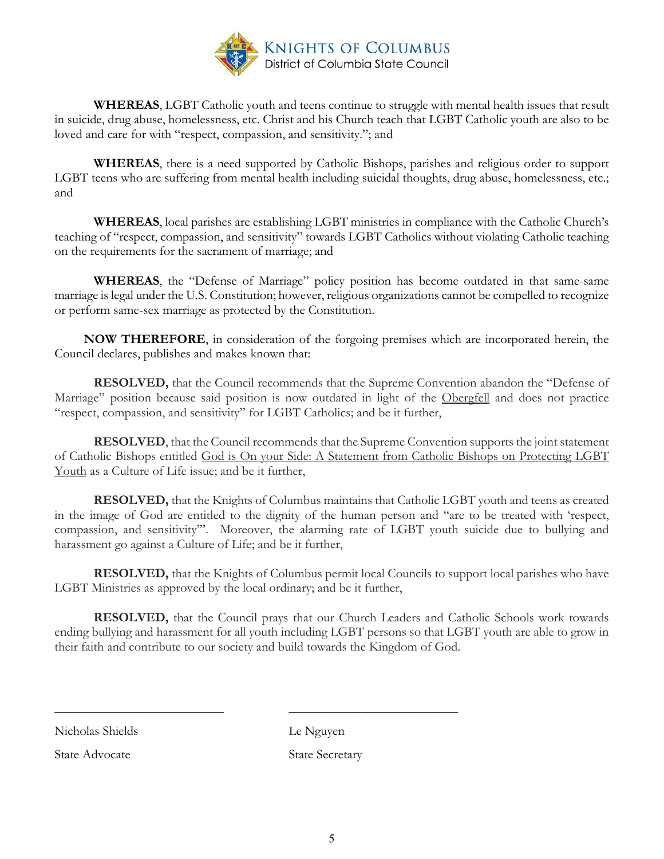

**WHEREAS**, LGBT Catholic youth and teens continue to struggle with mental health issues that result in suicide, drug abuse, homelessness, etc. Christ and his Church teach that LGBT Catholic youth are also to be loved and care for with "respect, compassion, and sensitivity."; and

**WHEREAS**, there is a need supported by Catholic Bishops, parishes and religious order to support LGBT teens who are suffering from mental health including suicidal thoughts, drug abuse, homelessness, etc.; and

**WHEREAS**, local parishes are establishing LGBT ministries in compliance with the Catholic Church's teaching of "respect, compassion, and sensitivity" towards LGBT Catholics without violating Catholic teaching on the requirements for the sacrament of marriage; and

**WHEREAS**, the "Defense of Marriage" policy position has become outdated in that same-same marriage is legal under the U.S. Constitution; however, religious organizations cannot be compelled to recognize or perform same-sex marriage as protected by the Constitution.

 **NOW THEREFORE**, in consideration of the forgoing premises which are incorporated herein, the Council declares, publishes and makes known that:

**RESOLVED,** that the Council recommends that the Supreme Convention abandon the "Defense of Marriage" position because said position is now outdated in light of the Obergfell and does not practice "respect, compassion, and sensitivity" for LGBT Catholics; and be it further,

**RESOLVED**, that the Council recommends that the Supreme Convention supports the joint statement of Catholic Bishops entitled God is On your Side: A Statement from Catholic Bishops on Protecting LGBT Youth as a Culture of Life issue; and be it further,

**RESOLVED,** that the Knights of Columbus maintains that Catholic LGBT youth and teens as created in the image of God are entitled to the dignity of the human person and "are to be treated with 'respect, compassion, and sensitivity'". Moreover, the alarming rate of LGBT youth suicide due to bullying and harassment go against a Culture of Life; and be it further,

**RESOLVED,** that the Knights of Columbus permit local Councils to support local parishes who have LGBT Ministries as approved by the local ordinary; and be it further,

**RESOLVED,** that the Council prays that our Church Leaders and Catholic Schools work towards ending bullying and harassment for all youth including LGBT persons so that LGBT youth are able to grow in their faith and contribute to our society and build towards the Kingdom of God.

Nicholas Shields Le Nguyen

State Advocate State Secretary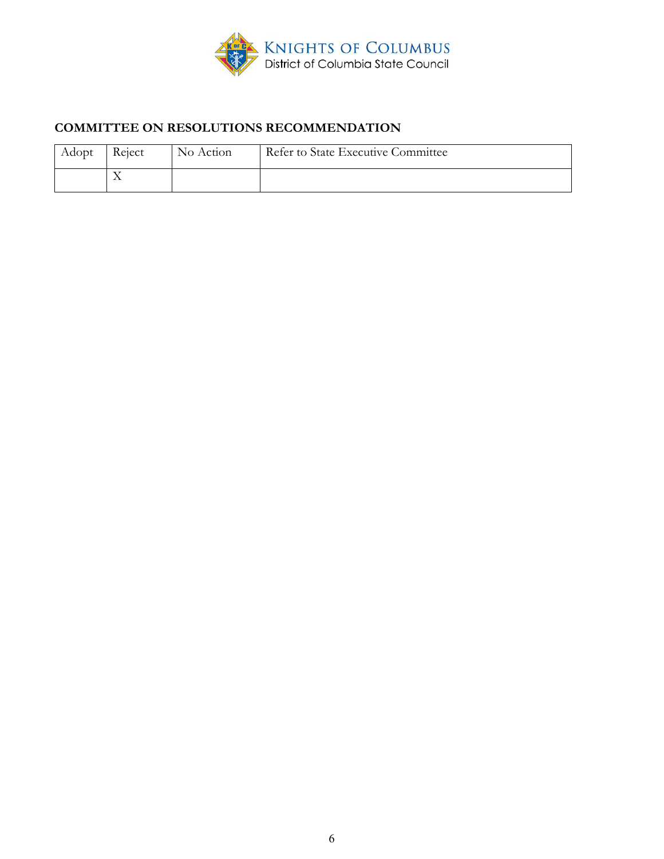

# **COMMITTEE ON RESOLUTIONS RECOMMENDATION**

| Adopt | Reject    | No Action | Refer to State Executive Committee |
|-------|-----------|-----------|------------------------------------|
|       | $\lambda$ |           |                                    |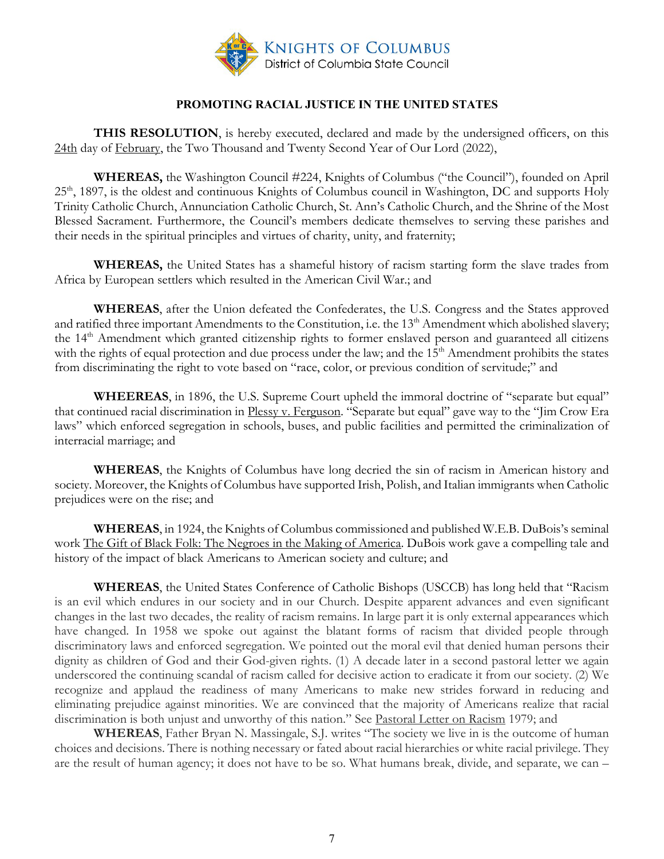

#### **PROMOTING RACIAL JUSTICE IN THE UNITED STATES**

<span id="page-6-0"></span>**THIS RESOLUTION**, is hereby executed, declared and made by the undersigned officers, on this 24th day of February, the Two Thousand and Twenty Second Year of Our Lord (2022),

**WHEREAS,** the Washington Council #224, Knights of Columbus ("the Council"), founded on April 25<sup>th</sup>, 1897, is the oldest and continuous Knights of Columbus council in Washington, DC and supports Holy Trinity Catholic Church, Annunciation Catholic Church, St. Ann's Catholic Church, and the Shrine of the Most Blessed Sacrament. Furthermore, the Council's members dedicate themselves to serving these parishes and their needs in the spiritual principles and virtues of charity, unity, and fraternity;

**WHEREAS,** the United States has a shameful history of racism starting form the slave trades from Africa by European settlers which resulted in the American Civil War.; and

**WHEREAS**, after the Union defeated the Confederates, the U.S. Congress and the States approved and ratified three important Amendments to the Constitution, i.e. the 13<sup>th</sup> Amendment which abolished slavery; the 14th Amendment which granted citizenship rights to former enslaved person and guaranteed all citizens with the rights of equal protection and due process under the law; and the 15<sup>th</sup> Amendment prohibits the states from discriminating the right to vote based on "race, color, or previous condition of servitude;" and

**WHEEREAS**, in 1896, the U.S. Supreme Court upheld the immoral doctrine of "separate but equal" that continued racial discrimination in Plessy v. Ferguson. "Separate but equal" gave way to the "Jim Crow Era laws" which enforced segregation in schools, buses, and public facilities and permitted the criminalization of interracial marriage; and

**WHEREAS**, the Knights of Columbus have long decried the sin of racism in American history and society. Moreover, the Knights of Columbus have supported Irish, Polish, and Italian immigrants when Catholic prejudices were on the rise; and

**WHEREAS**, in 1924, the Knights of Columbus commissioned and published W.E.B. DuBois's seminal work The Gift of Black Folk: The Negroes in the Making of America. DuBois work gave a compelling tale and history of the impact of black Americans to American society and culture; and

**WHEREAS**, the United States Conference of Catholic Bishops (USCCB) has long held that "Racism is an evil which endures in our society and in our Church. Despite apparent advances and even significant changes in the last two decades, the reality of racism remains. In large part it is only external appearances which have changed. In 1958 we spoke out against the blatant forms of racism that divided people through discriminatory laws and enforced segregation. We pointed out the moral evil that denied human persons their dignity as children of God and their God-given rights. (1) A decade later in a second pastoral letter we again underscored the continuing scandal of racism called for decisive action to eradicate it from our society. (2) We recognize and applaud the readiness of many Americans to make new strides forward in reducing and eliminating prejudice against minorities. We are convinced that the majority of Americans realize that racial discrimination is both unjust and unworthy of this nation." See Pastoral Letter on Racism 1979; and

**WHEREAS**, Father Bryan N. Massingale, S.J. writes "The society we live in is the outcome of human choices and decisions. There is nothing necessary or fated about racial hierarchies or white racial privilege. They are the result of human agency; it does not have to be so. What humans break, divide, and separate, we can –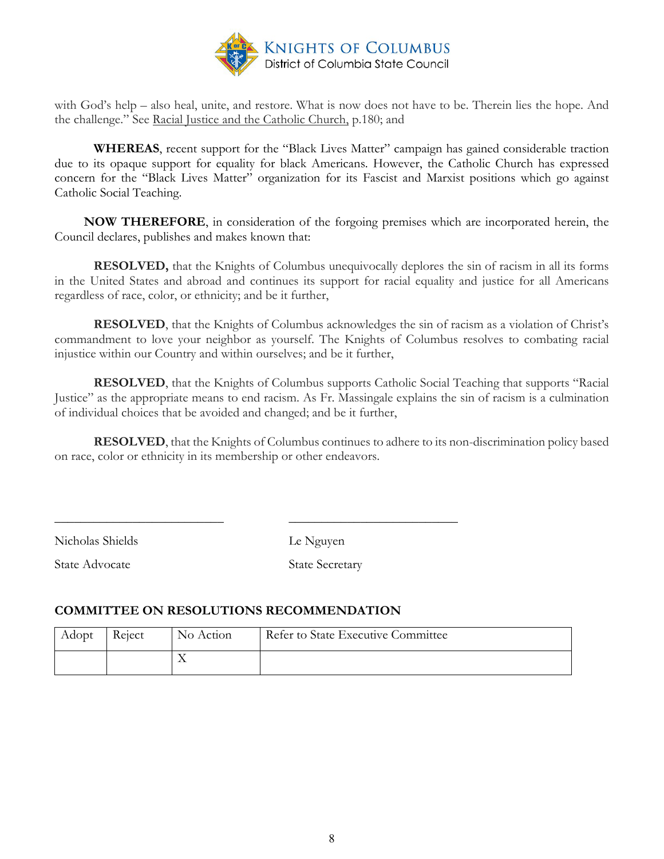

with God's help – also heal, unite, and restore. What is now does not have to be. Therein lies the hope. And the challenge." See Racial Justice and the Catholic Church, p.180; and

**WHEREAS**, recent support for the "Black Lives Matter" campaign has gained considerable traction due to its opaque support for equality for black Americans. However, the Catholic Church has expressed concern for the "Black Lives Matter" organization for its Fascist and Marxist positions which go against Catholic Social Teaching.

 **NOW THEREFORE**, in consideration of the forgoing premises which are incorporated herein, the Council declares, publishes and makes known that:

**RESOLVED,** that the Knights of Columbus unequivocally deplores the sin of racism in all its forms in the United States and abroad and continues its support for racial equality and justice for all Americans regardless of race, color, or ethnicity; and be it further,

**RESOLVED**, that the Knights of Columbus acknowledges the sin of racism as a violation of Christ's commandment to love your neighbor as yourself. The Knights of Columbus resolves to combating racial injustice within our Country and within ourselves; and be it further,

**RESOLVED**, that the Knights of Columbus supports Catholic Social Teaching that supports "Racial Justice" as the appropriate means to end racism. As Fr. Massingale explains the sin of racism is a culmination of individual choices that be avoided and changed; and be it further,

**RESOLVED**, that the Knights of Columbus continues to adhere to its non-discrimination policy based on race, color or ethnicity in its membership or other endeavors.

Nicholas Shields Le Nguyen

State Advocate State Secretary

#### **COMMITTEE ON RESOLUTIONS RECOMMENDATION**

| Adopt | Reject | No Action | Refer to State Executive Committee |
|-------|--------|-----------|------------------------------------|
|       |        |           |                                    |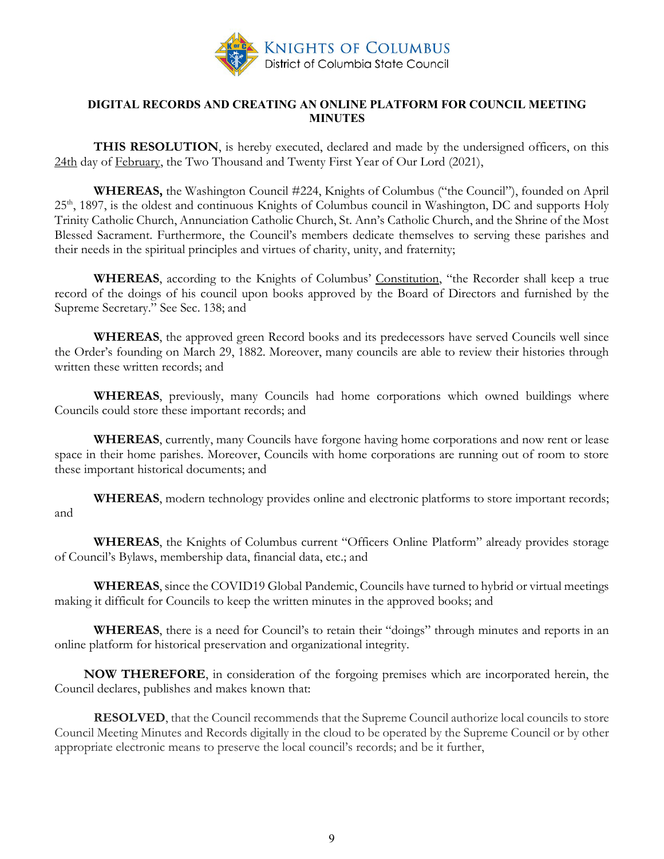

#### <span id="page-8-0"></span>**DIGITAL RECORDS AND CREATING AN ONLINE PLATFORM FOR COUNCIL MEETING MINUTES**

**THIS RESOLUTION**, is hereby executed, declared and made by the undersigned officers, on this 24th day of February, the Two Thousand and Twenty First Year of Our Lord (2021),

**WHEREAS,** the Washington Council #224, Knights of Columbus ("the Council"), founded on April 25<sup>th</sup>, 1897, is the oldest and continuous Knights of Columbus council in Washington, DC and supports Holy Trinity Catholic Church, Annunciation Catholic Church, St. Ann's Catholic Church, and the Shrine of the Most Blessed Sacrament. Furthermore, the Council's members dedicate themselves to serving these parishes and their needs in the spiritual principles and virtues of charity, unity, and fraternity;

**WHEREAS**, according to the Knights of Columbus' Constitution, "the Recorder shall keep a true record of the doings of his council upon books approved by the Board of Directors and furnished by the Supreme Secretary." See Sec. 138; and

**WHEREAS**, the approved green Record books and its predecessors have served Councils well since the Order's founding on March 29, 1882. Moreover, many councils are able to review their histories through written these written records; and

**WHEREAS**, previously, many Councils had home corporations which owned buildings where Councils could store these important records; and

**WHEREAS**, currently, many Councils have forgone having home corporations and now rent or lease space in their home parishes. Moreover, Councils with home corporations are running out of room to store these important historical documents; and

**WHEREAS**, modern technology provides online and electronic platforms to store important records; and

**WHEREAS**, the Knights of Columbus current "Officers Online Platform" already provides storage of Council's Bylaws, membership data, financial data, etc.; and

**WHEREAS**, since the COVID19 Global Pandemic, Councils have turned to hybrid or virtual meetings making it difficult for Councils to keep the written minutes in the approved books; and

**WHEREAS**, there is a need for Council's to retain their "doings" through minutes and reports in an online platform for historical preservation and organizational integrity.

 **NOW THEREFORE**, in consideration of the forgoing premises which are incorporated herein, the Council declares, publishes and makes known that:

**RESOLVED**, that the Council recommends that the Supreme Council authorize local councils to store Council Meeting Minutes and Records digitally in the cloud to be operated by the Supreme Council or by other appropriate electronic means to preserve the local council's records; and be it further,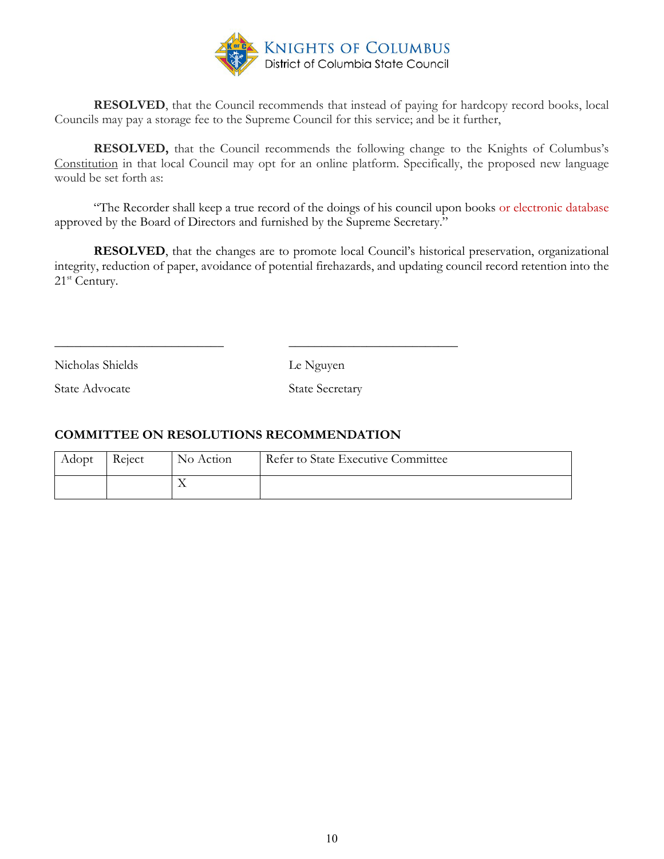

**RESOLVED**, that the Council recommends that instead of paying for hardcopy record books, local Councils may pay a storage fee to the Supreme Council for this service; and be it further,

**RESOLVED,** that the Council recommends the following change to the Knights of Columbus's Constitution in that local Council may opt for an online platform. Specifically, the proposed new language would be set forth as:

"The Recorder shall keep a true record of the doings of his council upon books or electronic database approved by the Board of Directors and furnished by the Supreme Secretary."

**RESOLVED**, that the changes are to promote local Council's historical preservation, organizational integrity, reduction of paper, avoidance of potential firehazards, and updating council record retention into the 21<sup>st</sup> Century.

Nicholas Shields Le Nguyen

State Advocate State Secretary

## **COMMITTEE ON RESOLUTIONS RECOMMENDATION**

| Adopt | Reject | No Action | Refer to State Executive Committee |
|-------|--------|-----------|------------------------------------|
|       |        |           |                                    |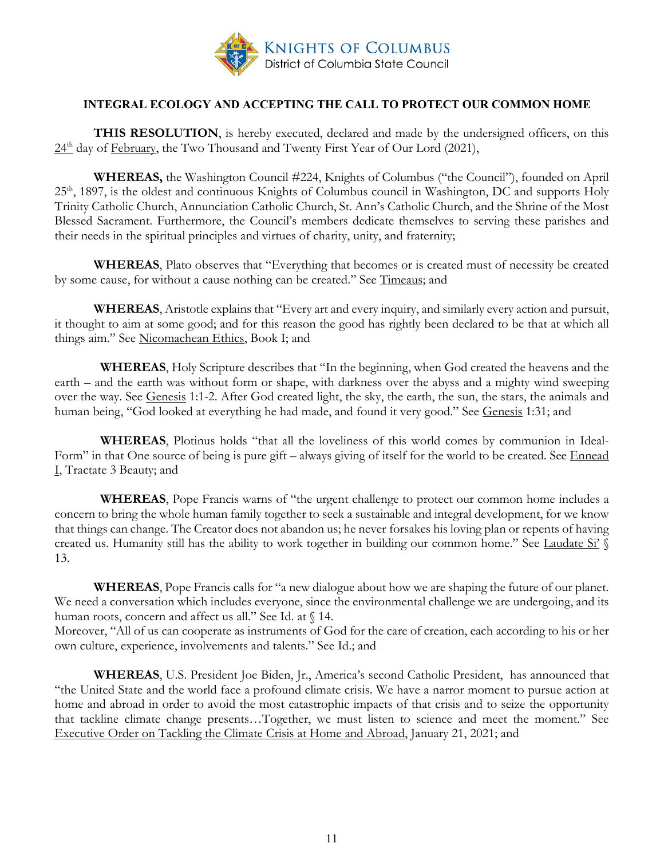

#### **INTEGRAL ECOLOGY AND ACCEPTING THE CALL TO PROTECT OUR COMMON HOME**

<span id="page-10-0"></span>**THIS RESOLUTION**, is hereby executed, declared and made by the undersigned officers, on this  $24<sup>th</sup>$  day of February, the Two Thousand and Twenty First Year of Our Lord (2021),

**WHEREAS,** the Washington Council #224, Knights of Columbus ("the Council"), founded on April 25<sup>th</sup>, 1897, is the oldest and continuous Knights of Columbus council in Washington, DC and supports Holy Trinity Catholic Church, Annunciation Catholic Church, St. Ann's Catholic Church, and the Shrine of the Most Blessed Sacrament. Furthermore, the Council's members dedicate themselves to serving these parishes and their needs in the spiritual principles and virtues of charity, unity, and fraternity;

**WHEREAS**, Plato observes that "Everything that becomes or is created must of necessity be created by some cause, for without a cause nothing can be created." See Timeaus; and

**WHEREAS**, Aristotle explains that "Every art and every inquiry, and similarly every action and pursuit, it thought to aim at some good; and for this reason the good has rightly been declared to be that at which all things aim." See Nicomachean Ethics, Book I; and

 **WHEREAS**, Holy Scripture describes that "In the beginning, when God created the heavens and the earth – and the earth was without form or shape, with darkness over the abyss and a mighty wind sweeping over the way. See Genesis 1:1-2. After God created light, the sky, the earth, the sun, the stars, the animals and human being, "God looked at everything he had made, and found it very good." See Genesis 1:31; and

 **WHEREAS**, Plotinus holds "that all the loveliness of this world comes by communion in Ideal-Form" in that One source of being is pure gift – always giving of itself for the world to be created. See Ennead I, Tractate 3 Beauty; and

 **WHEREAS**, Pope Francis warns of "the urgent challenge to protect our common home includes a concern to bring the whole human family together to seek a sustainable and integral development, for we know that things can change. The Creator does not abandon us; he never forsakes his loving plan or repents of having created us. Humanity still has the ability to work together in building our common home." See Laudate Si' § 13.

**WHEREAS**, Pope Francis calls for "a new dialogue about how we are shaping the future of our planet. We need a conversation which includes everyone, since the environmental challenge we are undergoing, and its human roots, concern and affect us all." See Id. at § 14.

Moreover, "All of us can cooperate as instruments of God for the care of creation, each according to his or her own culture, experience, involvements and talents." See Id.; and

**WHEREAS**, U.S. President Joe Biden, Jr., America's second Catholic President, has announced that "the United State and the world face a profound climate crisis. We have a narror moment to pursue action at home and abroad in order to avoid the most catastrophic impacts of that crisis and to seize the opportunity that tackline climate change presents…Together, we must listen to science and meet the moment." See Executive Order on Tackling the Climate Crisis at Home and Abroad, January 21, 2021; and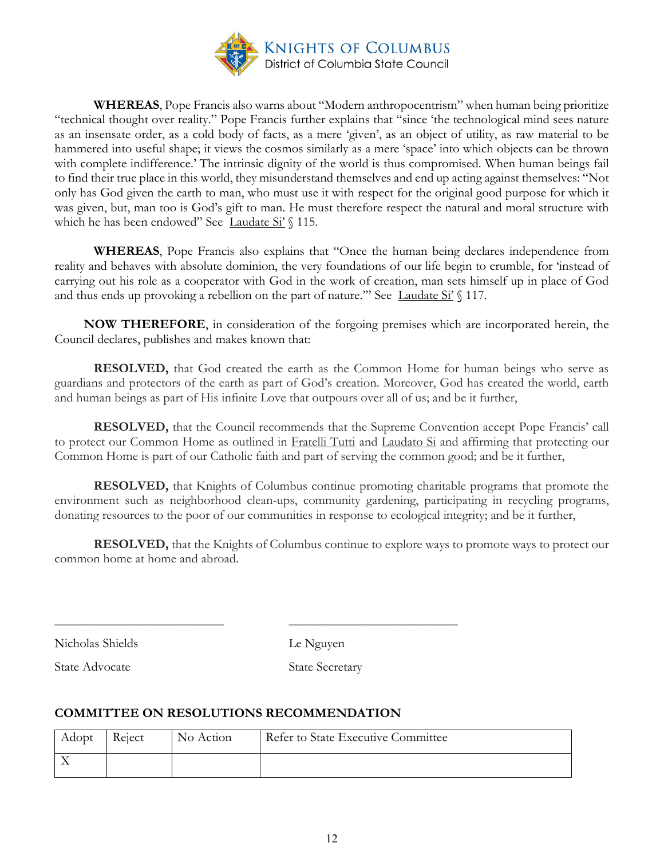

**WHEREAS**, Pope Francis also warns about "Modern anthropocentrism" when human being prioritize "technical thought over reality." Pope Francis further explains that "since 'the technological mind sees nature as an insensate order, as a cold body of facts, as a mere 'given', as an object of utility, as raw material to be hammered into useful shape; it views the cosmos similarly as a mere 'space' into which objects can be thrown with complete indifference.' The intrinsic dignity of the world is thus compromised. When human beings fail to find their true place in this world, they misunderstand themselves and end up acting against themselves: "Not only has God given the earth to man, who must use it with respect for the original good purpose for which it was given, but, man too is God's gift to man. He must therefore respect the natural and moral structure with which he has been endowed" See Laudate Si'  $\$  115.

**WHEREAS**, Pope Francis also explains that "Once the human being declares independence from reality and behaves with absolute dominion, the very foundations of our life begin to crumble, for 'instead of carrying out his role as a cooperator with God in the work of creation, man sets himself up in place of God and thus ends up provoking a rebellion on the part of nature." See Laudate  $Si' \$  117.

 **NOW THEREFORE**, in consideration of the forgoing premises which are incorporated herein, the Council declares, publishes and makes known that:

**RESOLVED,** that God created the earth as the Common Home for human beings who serve as guardians and protectors of the earth as part of God's creation. Moreover, God has created the world, earth and human beings as part of His infinite Love that outpours over all of us; and be it further,

**RESOLVED,** that the Council recommends that the Supreme Convention accept Pope Francis' call to protect our Common Home as outlined in Fratelli Tutti and Laudato Si and affirming that protecting our Common Home is part of our Catholic faith and part of serving the common good; and be it further,

**RESOLVED,** that Knights of Columbus continue promoting charitable programs that promote the environment such as neighborhood clean-ups, community gardening, participating in recycling programs, donating resources to the poor of our communities in response to ecological integrity; and be it further,

**RESOLVED,** that the Knights of Columbus continue to explore ways to promote ways to protect our common home at home and abroad.

Nicholas Shields Le Nguyen

State Advocate State Secretary

#### **COMMITTEE ON RESOLUTIONS RECOMMENDATION**

| Adopt | Reject | No Action | Refer to State Executive Committee |
|-------|--------|-----------|------------------------------------|
|       |        |           |                                    |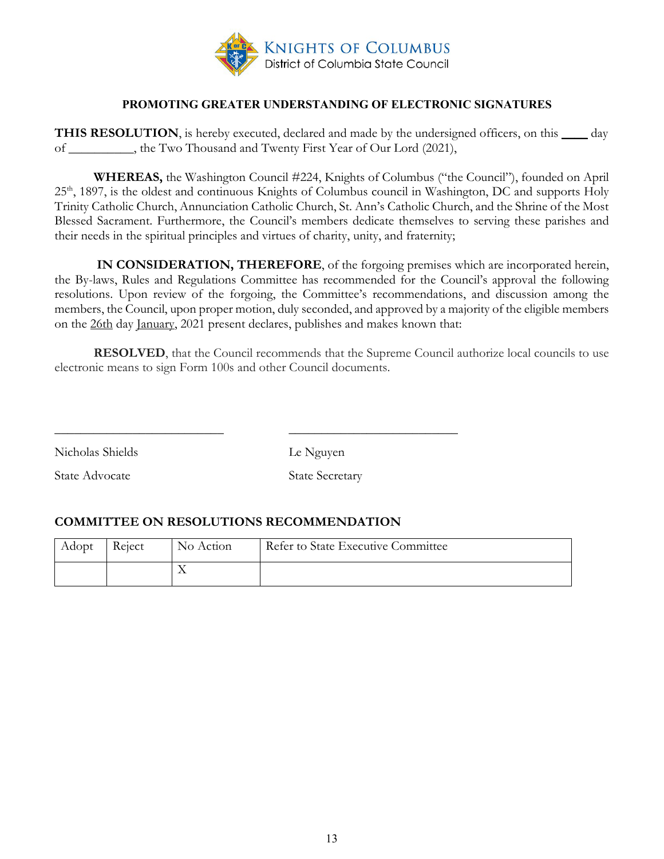

#### **PROMOTING GREATER UNDERSTANDING OF ELECTRONIC SIGNATURES**

<span id="page-12-0"></span>**THIS RESOLUTION**, is hereby executed, declared and made by the undersigned officers, on this \_\_\_\_ day of \_\_\_\_\_\_\_\_\_\_, the Two Thousand and Twenty First Year of Our Lord (2021),

**WHEREAS,** the Washington Council #224, Knights of Columbus ("the Council"), founded on April 25<sup>th</sup>, 1897, is the oldest and continuous Knights of Columbus council in Washington, DC and supports Holy Trinity Catholic Church, Annunciation Catholic Church, St. Ann's Catholic Church, and the Shrine of the Most Blessed Sacrament. Furthermore, the Council's members dedicate themselves to serving these parishes and their needs in the spiritual principles and virtues of charity, unity, and fraternity;

 **IN CONSIDERATION, THEREFORE**, of the forgoing premises which are incorporated herein, the By-laws, Rules and Regulations Committee has recommended for the Council's approval the following resolutions. Upon review of the forgoing, the Committee's recommendations, and discussion among the members, the Council, upon proper motion, duly seconded, and approved by a majority of the eligible members on the 26th day January, 2021 present declares, publishes and makes known that:

**RESOLVED**, that the Council recommends that the Supreme Council authorize local councils to use electronic means to sign Form 100s and other Council documents.

Nicholas Shields Le Nguyen

State Advocate State Secretary

#### **COMMITTEE ON RESOLUTIONS RECOMMENDATION**

| Adopt | Reject | No Action | Refer to State Executive Committee |
|-------|--------|-----------|------------------------------------|
|       |        |           |                                    |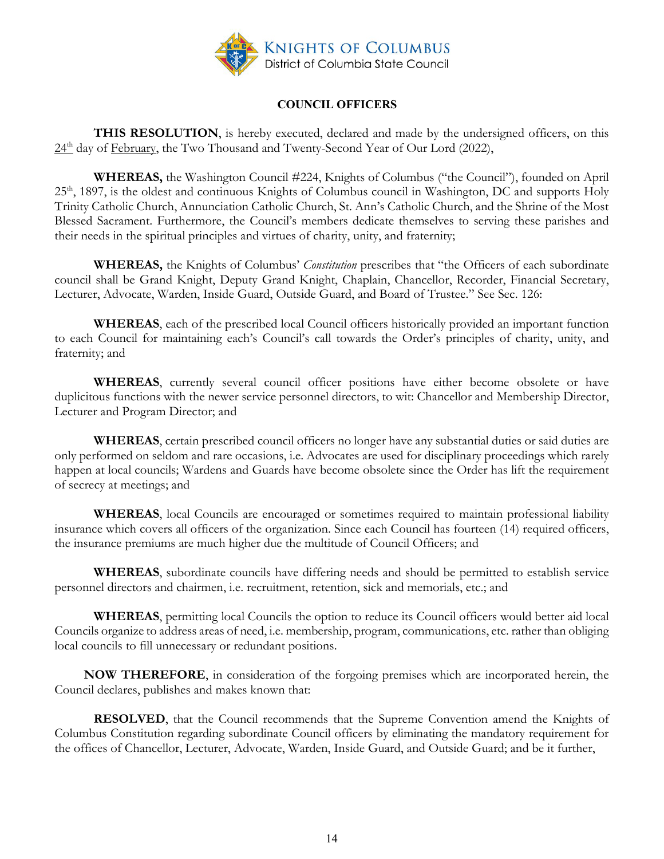

#### **COUNCIL OFFICERS**

<span id="page-13-0"></span>**THIS RESOLUTION**, is hereby executed, declared and made by the undersigned officers, on this  $24<sup>th</sup>$  day of February, the Two Thousand and Twenty-Second Year of Our Lord (2022),

**WHEREAS,** the Washington Council #224, Knights of Columbus ("the Council"), founded on April 25<sup>th</sup>, 1897, is the oldest and continuous Knights of Columbus council in Washington, DC and supports Holy Trinity Catholic Church, Annunciation Catholic Church, St. Ann's Catholic Church, and the Shrine of the Most Blessed Sacrament. Furthermore, the Council's members dedicate themselves to serving these parishes and their needs in the spiritual principles and virtues of charity, unity, and fraternity;

**WHEREAS,** the Knights of Columbus' *Constitution* prescribes that "the Officers of each subordinate council shall be Grand Knight, Deputy Grand Knight, Chaplain, Chancellor, Recorder, Financial Secretary, Lecturer, Advocate, Warden, Inside Guard, Outside Guard, and Board of Trustee." See Sec. 126:

**WHEREAS**, each of the prescribed local Council officers historically provided an important function to each Council for maintaining each's Council's call towards the Order's principles of charity, unity, and fraternity; and

**WHEREAS**, currently several council officer positions have either become obsolete or have duplicitous functions with the newer service personnel directors, to wit: Chancellor and Membership Director, Lecturer and Program Director; and

**WHEREAS**, certain prescribed council officers no longer have any substantial duties or said duties are only performed on seldom and rare occasions, i.e. Advocates are used for disciplinary proceedings which rarely happen at local councils; Wardens and Guards have become obsolete since the Order has lift the requirement of secrecy at meetings; and

**WHEREAS**, local Councils are encouraged or sometimes required to maintain professional liability insurance which covers all officers of the organization. Since each Council has fourteen (14) required officers, the insurance premiums are much higher due the multitude of Council Officers; and

**WHEREAS**, subordinate councils have differing needs and should be permitted to establish service personnel directors and chairmen, i.e. recruitment, retention, sick and memorials, etc.; and

**WHEREAS**, permitting local Councils the option to reduce its Council officers would better aid local Councils organize to address areas of need, i.e. membership, program, communications, etc. rather than obliging local councils to fill unnecessary or redundant positions.

 **NOW THEREFORE**, in consideration of the forgoing premises which are incorporated herein, the Council declares, publishes and makes known that:

**RESOLVED**, that the Council recommends that the Supreme Convention amend the Knights of Columbus Constitution regarding subordinate Council officers by eliminating the mandatory requirement for the offices of Chancellor, Lecturer, Advocate, Warden, Inside Guard, and Outside Guard; and be it further,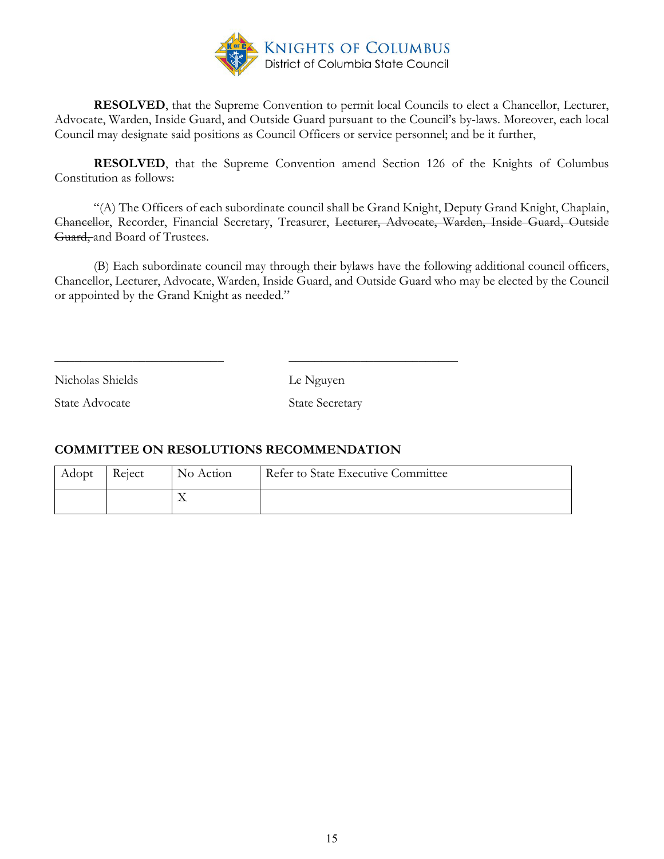

**RESOLVED**, that the Supreme Convention to permit local Councils to elect a Chancellor, Lecturer, Advocate, Warden, Inside Guard, and Outside Guard pursuant to the Council's by-laws. Moreover, each local Council may designate said positions as Council Officers or service personnel; and be it further,

**RESOLVED**, that the Supreme Convention amend Section 126 of the Knights of Columbus Constitution as follows:

"(A) The Officers of each subordinate council shall be Grand Knight, Deputy Grand Knight, Chaplain, Chancellor, Recorder, Financial Secretary, Treasurer, Lecturer, Advocate, Warden, Inside Guard, Outside Guard, and Board of Trustees.

(B) Each subordinate council may through their bylaws have the following additional council officers, Chancellor, Lecturer, Advocate, Warden, Inside Guard, and Outside Guard who may be elected by the Council or appointed by the Grand Knight as needed."

Nicholas Shields Le Nguyen

State Advocate State Secretary

## **COMMITTEE ON RESOLUTIONS RECOMMENDATION**

| Adopt | Reject | No Action | Refer to State Executive Committee |
|-------|--------|-----------|------------------------------------|
|       |        |           |                                    |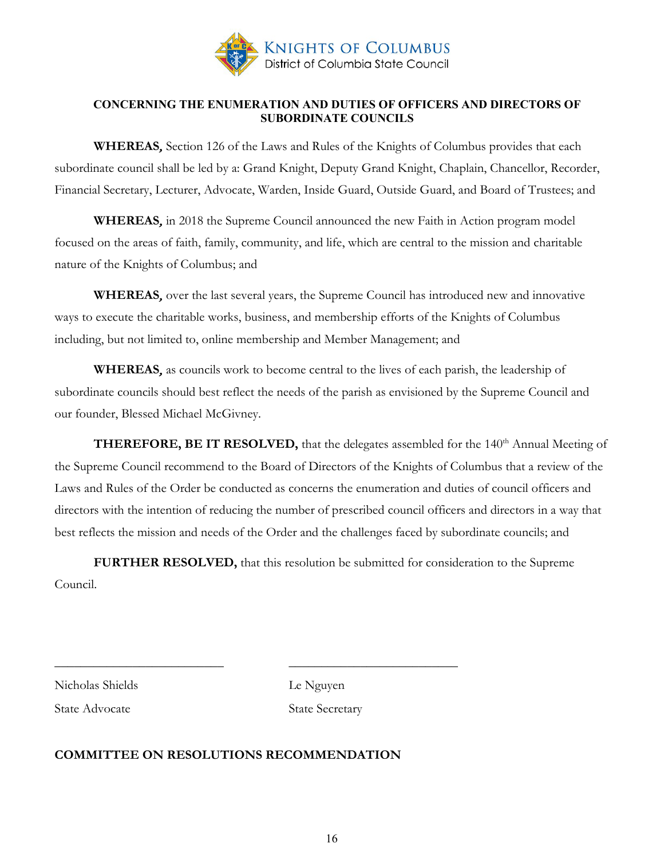

#### <span id="page-15-0"></span>**CONCERNING THE ENUMERATION AND DUTIES OF OFFICERS AND DIRECTORS OF SUBORDINATE COUNCILS**

**WHEREAS**, Section 126 of the Laws and Rules of the Knights of Columbus provides that each subordinate council shall be led by a: Grand Knight, Deputy Grand Knight, Chaplain, Chancellor, Recorder, Financial Secretary, Lecturer, Advocate, Warden, Inside Guard, Outside Guard, and Board of Trustees; and

**WHEREAS**, in 2018 the Supreme Council announced the new Faith in Action program model focused on the areas of faith, family, community, and life, which are central to the mission and charitable nature of the Knights of Columbus; and

**WHEREAS**, over the last several years, the Supreme Council has introduced new and innovative ways to execute the charitable works, business, and membership efforts of the Knights of Columbus including, but not limited to, online membership and Member Management; and

**WHEREAS**, as councils work to become central to the lives of each parish, the leadership of subordinate councils should best reflect the needs of the parish as envisioned by the Supreme Council and our founder, Blessed Michael McGivney.

**THEREFORE, BE IT RESOLVED,** that the delegates assembled for the 140<sup>th</sup> Annual Meeting of the Supreme Council recommend to the Board of Directors of the Knights of Columbus that a review of the Laws and Rules of the Order be conducted as concerns the enumeration and duties of council officers and directors with the intention of reducing the number of prescribed council officers and directors in a way that best reflects the mission and needs of the Order and the challenges faced by subordinate councils; and

**FURTHER RESOLVED,** that this resolution be submitted for consideration to the Supreme Council.

Nicholas Shields Le Nguyen

State Advocate State Secretary

## **COMMITTEE ON RESOLUTIONS RECOMMENDATION**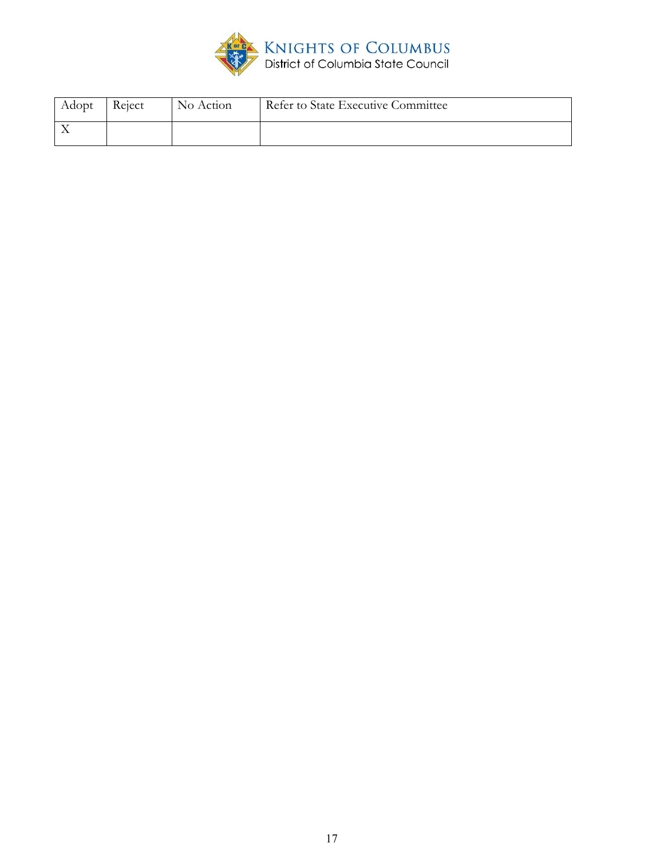

| Adopt | Reject | No Action | Refer to State Executive Committee |
|-------|--------|-----------|------------------------------------|
|       |        |           |                                    |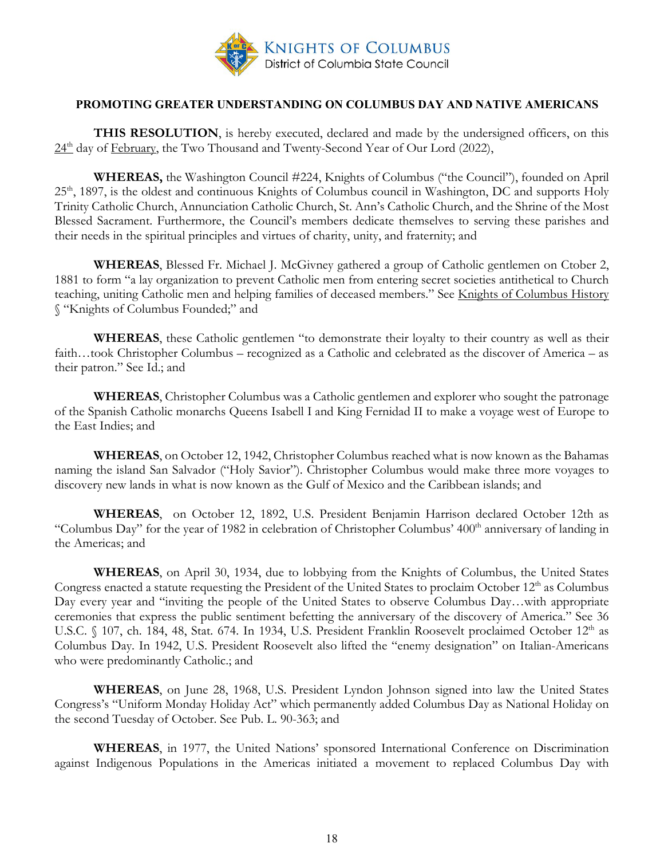

#### **PROMOTING GREATER UNDERSTANDING ON COLUMBUS DAY AND NATIVE AMERICANS**

**THIS RESOLUTION**, is hereby executed, declared and made by the undersigned officers, on this  $24<sup>th</sup>$  day of February, the Two Thousand and Twenty-Second Year of Our Lord (2022),

**WHEREAS,** the Washington Council #224, Knights of Columbus ("the Council"), founded on April 25<sup>th</sup>, 1897, is the oldest and continuous Knights of Columbus council in Washington, DC and supports Holy Trinity Catholic Church, Annunciation Catholic Church, St. Ann's Catholic Church, and the Shrine of the Most Blessed Sacrament. Furthermore, the Council's members dedicate themselves to serving these parishes and their needs in the spiritual principles and virtues of charity, unity, and fraternity; and

**WHEREAS**, Blessed Fr. Michael J. McGivney gathered a group of Catholic gentlemen on Ctober 2, 1881 to form "a lay organization to prevent Catholic men from entering secret societies antithetical to Church teaching, uniting Catholic men and helping families of deceased members." See Knights of Columbus History § "Knights of Columbus Founded;" and

**WHEREAS**, these Catholic gentlemen "to demonstrate their loyalty to their country as well as their faith…took Christopher Columbus – recognized as a Catholic and celebrated as the discover of America – as their patron." See Id.; and

**WHEREAS**, Christopher Columbus was a Catholic gentlemen and explorer who sought the patronage of the Spanish Catholic monarchs Queens Isabell I and King Fernidad II to make a voyage west of Europe to the East Indies; and

**WHEREAS**, on October 12, 1942, Christopher Columbus reached what is now known as the Bahamas naming the island San Salvador ("Holy Savior"). Christopher Columbus would make three more voyages to discovery new lands in what is now known as the Gulf of Mexico and the Caribbean islands; and

**WHEREAS**, on October 12, 1892, U.S. President Benjamin Harrison declared October 12th as "Columbus Day" for the year of 1982 in celebration of Christopher Columbus' 400<sup>th</sup> anniversary of landing in the Americas; and

**WHEREAS**, on April 30, 1934, due to lobbying from the Knights of Columbus, the United States Congress enacted a statute requesting the President of the United States to proclaim October 12<sup>th</sup> as Columbus Day every year and "inviting the people of the United States to observe Columbus Day…with appropriate ceremonies that express the public sentiment befetting the anniversary of the discovery of America." See 36 U.S.C. § 107, ch. 184, 48, Stat. 674. In 1934, U.S. President Franklin Roosevelt proclaimed October 12<sup>th</sup> as Columbus Day. In 1942, U.S. President Roosevelt also lifted the "enemy designation" on Italian-Americans who were predominantly Catholic.; and

**WHEREAS**, on June 28, 1968, U.S. President Lyndon Johnson signed into law the United States Congress's "Uniform Monday Holiday Act" which permanently added Columbus Day as National Holiday on the second Tuesday of October. See Pub. L. 90-363; and

**WHEREAS**, in 1977, the United Nations' sponsored International Conference on Discrimination against Indigenous Populations in the Americas initiated a movement to replaced Columbus Day with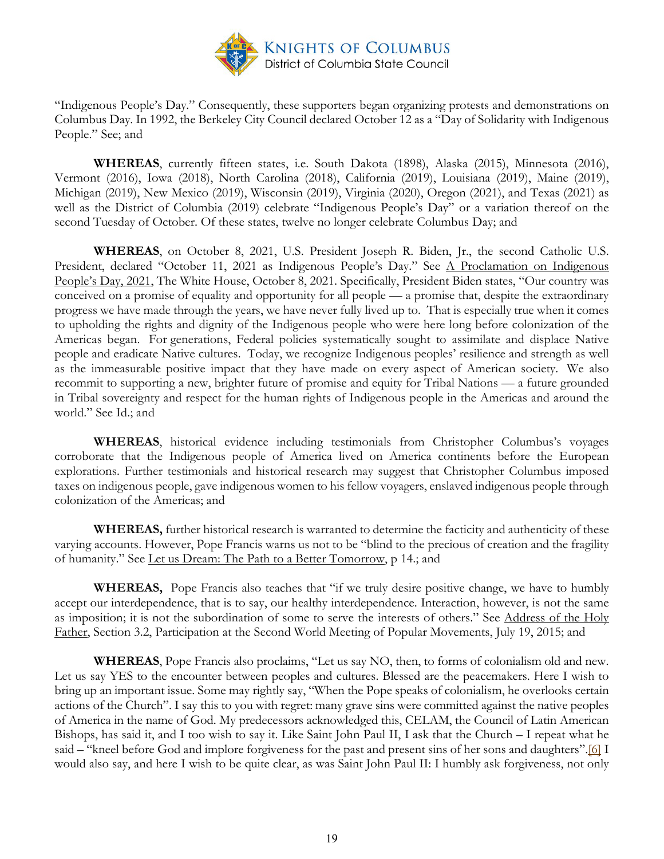

"Indigenous People's Day." Consequently, these supporters began organizing protests and demonstrations on Columbus Day. In 1992, the Berkeley City Council declared October 12 as a "Day of Solidarity with Indigenous People." See; and

**WHEREAS**, currently fifteen states, i.e. South Dakota (1898), Alaska (2015), Minnesota (2016), Vermont (2016), Iowa (2018), North Carolina (2018), California (2019), Louisiana (2019), Maine (2019), Michigan (2019), New Mexico (2019), Wisconsin (2019), Virginia (2020), Oregon (2021), and Texas (2021) as well as the District of Columbia (2019) celebrate "Indigenous People's Day" or a variation thereof on the second Tuesday of October. Of these states, twelve no longer celebrate Columbus Day; and

**WHEREAS**, on October 8, 2021, U.S. President Joseph R. Biden, Jr., the second Catholic U.S. President, declared "October 11, 2021 as Indigenous People's Day." See A Proclamation on Indigenous People's Day, 2021, The White House, October 8, 2021. Specifically, President Biden states, "Our country was conceived on a promise of equality and opportunity for all people — a promise that, despite the extraordinary progress we have made through the years, we have never fully lived up to. That is especially true when it comes to upholding the rights and dignity of the Indigenous people who were here long before colonization of the Americas began. For generations, Federal policies systematically sought to assimilate and displace Native people and eradicate Native cultures. Today, we recognize Indigenous peoples' resilience and strength as well as the immeasurable positive impact that they have made on every aspect of American society. We also recommit to supporting a new, brighter future of promise and equity for Tribal Nations — a future grounded in Tribal sovereignty and respect for the human rights of Indigenous people in the Americas and around the world." See Id.; and

**WHEREAS**, historical evidence including testimonials from Christopher Columbus's voyages corroborate that the Indigenous people of America lived on America continents before the European explorations. Further testimonials and historical research may suggest that Christopher Columbus imposed taxes on indigenous people, gave indigenous women to his fellow voyagers, enslaved indigenous people through colonization of the Americas; and

**WHEREAS,** further historical research is warranted to determine the facticity and authenticity of these varying accounts. However, Pope Francis warns us not to be "blind to the precious of creation and the fragility of humanity." See Let us Dream: The Path to a Better Tomorrow, p 14.; and

**WHEREAS,** Pope Francis also teaches that "if we truly desire positive change, we have to humbly accept our interdependence, that is to say, our healthy interdependence. Interaction, however, is not the same as imposition; it is not the subordination of some to serve the interests of others." See Address of the Holy Father, Section 3.2, Participation at the Second World Meeting of Popular Movements, July 19, 2015; and

**WHEREAS**, Pope Francis also proclaims, "Let us say NO, then, to forms of colonialism old and new. Let us say YES to the encounter between peoples and cultures. Blessed are the peacemakers. Here I wish to bring up an important issue. Some may rightly say, "When the Pope speaks of colonialism, he overlooks certain actions of the Church". I say this to you with regret: many grave sins were committed against the native peoples of America in the name of God. My predecessors acknowledged this, CELAM, the Council of Latin American Bishops, has said it, and I too wish to say it. Like Saint John Paul II, I ask that the Church – I repeat what he said – "kneel before God and implore forgiveness for the past and present sins of her sons and daughters"[.\[6\]](https://www.vatican.va/content/francesco/en/speeches/2015/july/documents/papa-francesco_20150709_bolivia-movimenti-popolari.html#_ftn6) I would also say, and here I wish to be quite clear, as was Saint John Paul II: I humbly ask forgiveness, not only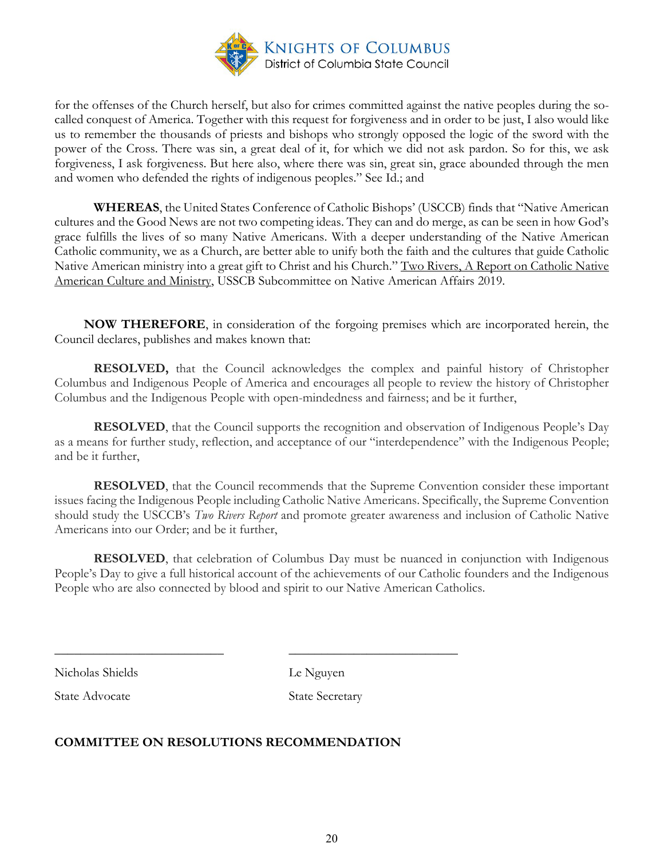

for the offenses of the Church herself, but also for crimes committed against the native peoples during the socalled conquest of America. Together with this request for forgiveness and in order to be just, I also would like us to remember the thousands of priests and bishops who strongly opposed the logic of the sword with the power of the Cross. There was sin, a great deal of it, for which we did not ask pardon. So for this, we ask forgiveness, I ask forgiveness. But here also, where there was sin, great sin, grace abounded through the men and women who defended the rights of indigenous peoples." See Id.; and

**WHEREAS**, the United States Conference of Catholic Bishops' (USCCB) finds that "Native American cultures and the Good News are not two competing ideas. They can and do merge, as can be seen in how God's grace fulfills the lives of so many Native Americans. With a deeper understanding of the Native American Catholic community, we as a Church, are better able to unify both the faith and the cultures that guide Catholic Native American ministry into a great gift to Christ and his Church." Two Rivers, A Report on Catholic Native American Culture and Ministry, USSCB Subcommittee on Native American Affairs 2019.

 **NOW THEREFORE**, in consideration of the forgoing premises which are incorporated herein, the Council declares, publishes and makes known that:

**RESOLVED,** that the Council acknowledges the complex and painful history of Christopher Columbus and Indigenous People of America and encourages all people to review the history of Christopher Columbus and the Indigenous People with open-mindedness and fairness; and be it further,

**RESOLVED**, that the Council supports the recognition and observation of Indigenous People's Day as a means for further study, reflection, and acceptance of our "interdependence" with the Indigenous People; and be it further,

**RESOLVED**, that the Council recommends that the Supreme Convention consider these important issues facing the Indigenous People including Catholic Native Americans. Specifically, the Supreme Convention should study the USCCB's *Two Rivers Report* and promote greater awareness and inclusion of Catholic Native Americans into our Order; and be it further,

**RESOLVED**, that celebration of Columbus Day must be nuanced in conjunction with Indigenous People's Day to give a full historical account of the achievements of our Catholic founders and the Indigenous People who are also connected by blood and spirit to our Native American Catholics.

Nicholas Shields Le Nguyen

State Advocate State Secretary

## **COMMITTEE ON RESOLUTIONS RECOMMENDATION**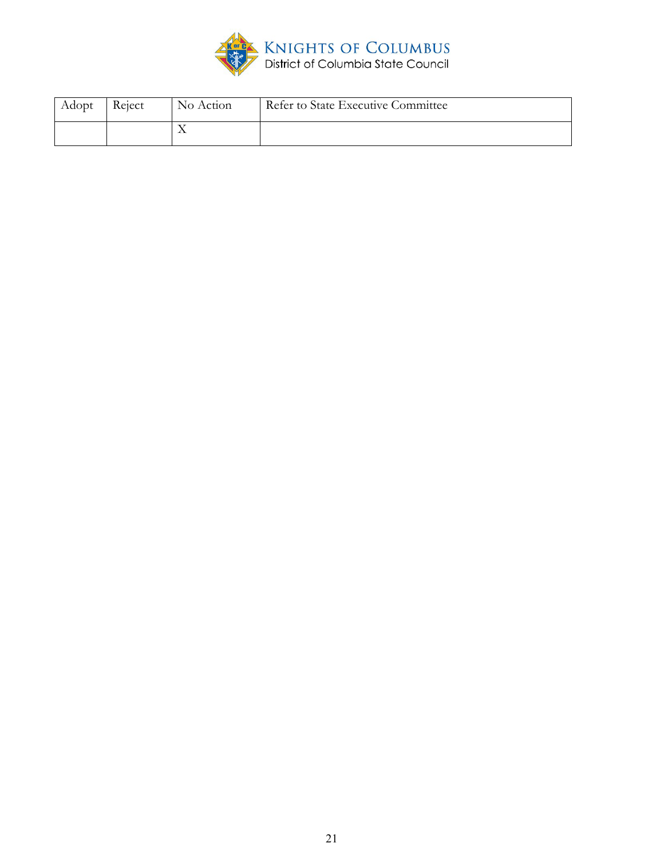

| Adopt | Reject | No Action | Refer to State Executive Committee |
|-------|--------|-----------|------------------------------------|
|       |        |           |                                    |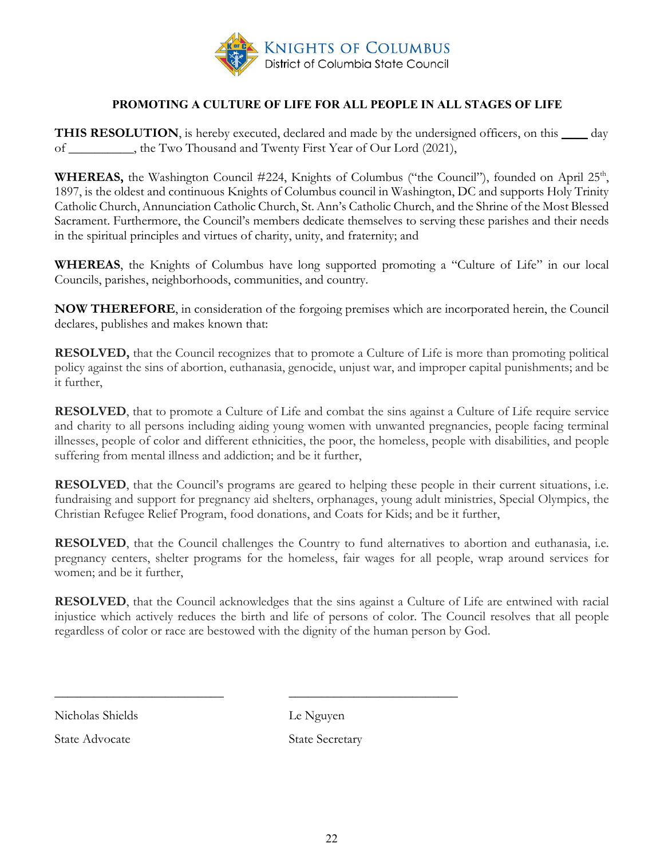

### **PROMOTING A CULTURE OF LIFE FOR ALL PEOPLE IN ALL STAGES OF LIFE**

<span id="page-21-0"></span>**THIS RESOLUTION**, is hereby executed, declared and made by the undersigned officers, on this \_\_\_\_ day of \_\_\_\_\_\_\_\_\_\_, the Two Thousand and Twenty First Year of Our Lord (2021),

**WHEREAS,** the Washington Council #224, Knights of Columbus ("the Council"), founded on April 25<sup>th</sup>, 1897, is the oldest and continuous Knights of Columbus council in Washington, DC and supports Holy Trinity Catholic Church, Annunciation Catholic Church, St. Ann's Catholic Church, and the Shrine of the Most Blessed Sacrament. Furthermore, the Council's members dedicate themselves to serving these parishes and their needs in the spiritual principles and virtues of charity, unity, and fraternity; and

**WHEREAS**, the Knights of Columbus have long supported promoting a "Culture of Life" in our local Councils, parishes, neighborhoods, communities, and country.

**NOW THEREFORE**, in consideration of the forgoing premises which are incorporated herein, the Council declares, publishes and makes known that:

**RESOLVED,** that the Council recognizes that to promote a Culture of Life is more than promoting political policy against the sins of abortion, euthanasia, genocide, unjust war, and improper capital punishments; and be it further,

**RESOLVED**, that to promote a Culture of Life and combat the sins against a Culture of Life require service and charity to all persons including aiding young women with unwanted pregnancies, people facing terminal illnesses, people of color and different ethnicities, the poor, the homeless, people with disabilities, and people suffering from mental illness and addiction; and be it further,

**RESOLVED**, that the Council's programs are geared to helping these people in their current situations, i.e. fundraising and support for pregnancy aid shelters, orphanages, young adult ministries, Special Olympics, the Christian Refugee Relief Program, food donations, and Coats for Kids; and be it further,

**RESOLVED**, that the Council challenges the Country to fund alternatives to abortion and euthanasia, i.e. pregnancy centers, shelter programs for the homeless, fair wages for all people, wrap around services for women; and be it further,

**RESOLVED**, that the Council acknowledges that the sins against a Culture of Life are entwined with racial injustice which actively reduces the birth and life of persons of color. The Council resolves that all people regardless of color or race are bestowed with the dignity of the human person by God.

Nicholas Shields Le Nguyen

State Advocate State Secretary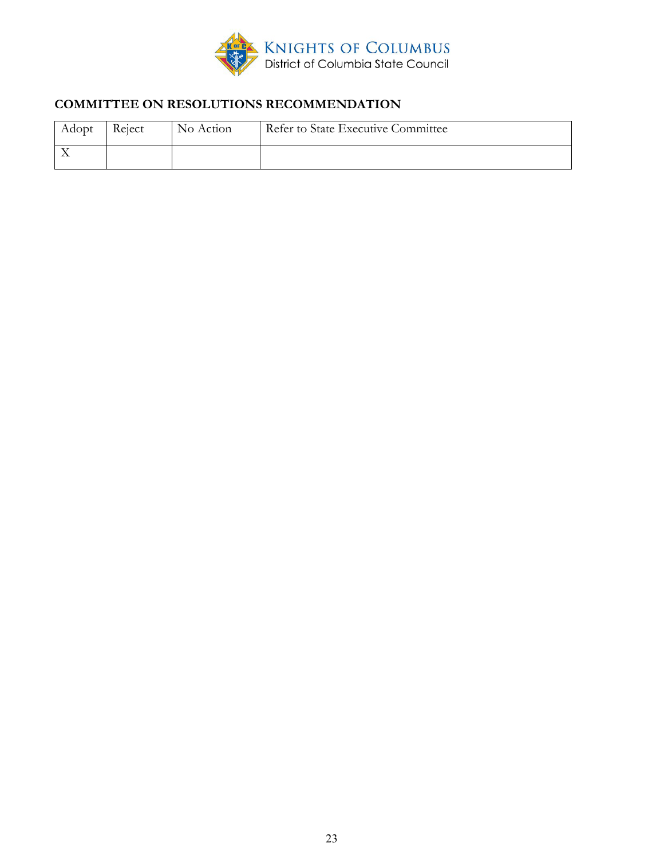

# **COMMITTEE ON RESOLUTIONS RECOMMENDATION**

| Adopt Reject | No Action | Refer to State Executive Committee |
|--------------|-----------|------------------------------------|
|              |           |                                    |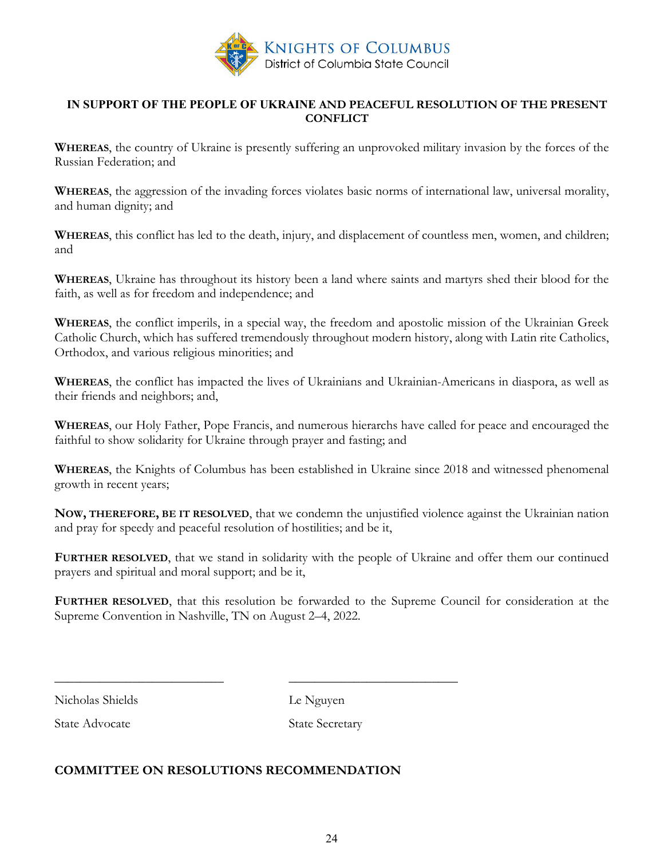

#### <span id="page-23-0"></span>**IN SUPPORT OF THE PEOPLE OF UKRAINE AND PEACEFUL RESOLUTION OF THE PRESENT CONFLICT**

**WHEREAS**, the country of Ukraine is presently suffering an unprovoked military invasion by the forces of the Russian Federation; and

**WHEREAS**, the aggression of the invading forces violates basic norms of international law, universal morality, and human dignity; and

**WHEREAS**, this conflict has led to the death, injury, and displacement of countless men, women, and children; and

**WHEREAS**, Ukraine has throughout its history been a land where saints and martyrs shed their blood for the faith, as well as for freedom and independence; and

**WHEREAS**, the conflict imperils, in a special way, the freedom and apostolic mission of the Ukrainian Greek Catholic Church, which has suffered tremendously throughout modern history, along with Latin rite Catholics, Orthodox, and various religious minorities; and

**WHEREAS**, the conflict has impacted the lives of Ukrainians and Ukrainian-Americans in diaspora, as well as their friends and neighbors; and,

**WHEREAS**, our Holy Father, Pope Francis, and numerous hierarchs have called for peace and encouraged the faithful to show solidarity for Ukraine through prayer and fasting; and

**WHEREAS**, the Knights of Columbus has been established in Ukraine since 2018 and witnessed phenomenal growth in recent years;

**NOW, THEREFORE, BE IT RESOLVED**, that we condemn the unjustified violence against the Ukrainian nation and pray for speedy and peaceful resolution of hostilities; and be it,

**FURTHER RESOLVED**, that we stand in solidarity with the people of Ukraine and offer them our continued prayers and spiritual and moral support; and be it,

**FURTHER RESOLVED**, that this resolution be forwarded to the Supreme Council for consideration at the Supreme Convention in Nashville, TN on August 2–4, 2022.

Nicholas Shields Le Nguyen

State Advocate State Secretary

#### **COMMITTEE ON RESOLUTIONS RECOMMENDATION**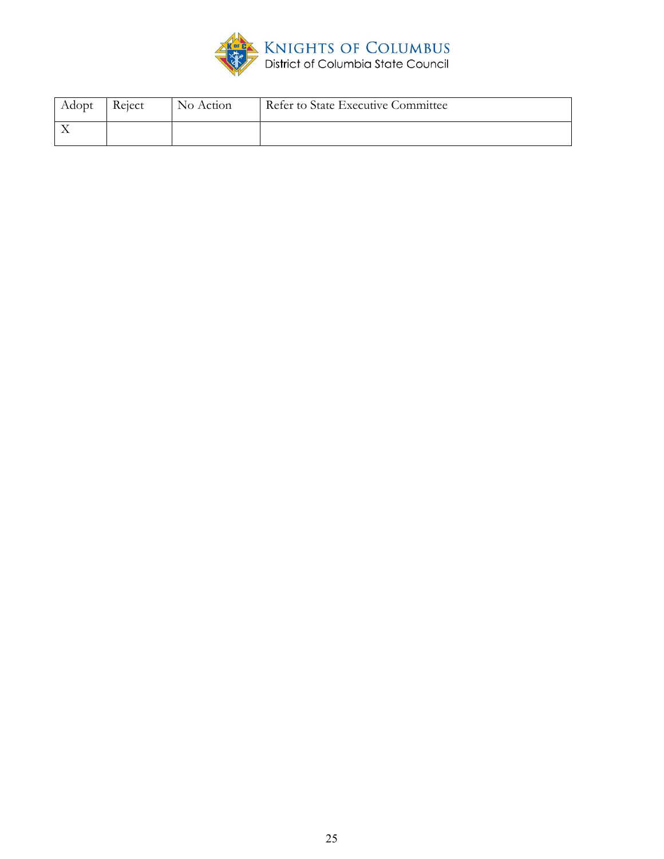

| Adopt | Reject | No Action | Refer to State Executive Committee |
|-------|--------|-----------|------------------------------------|
|       |        |           |                                    |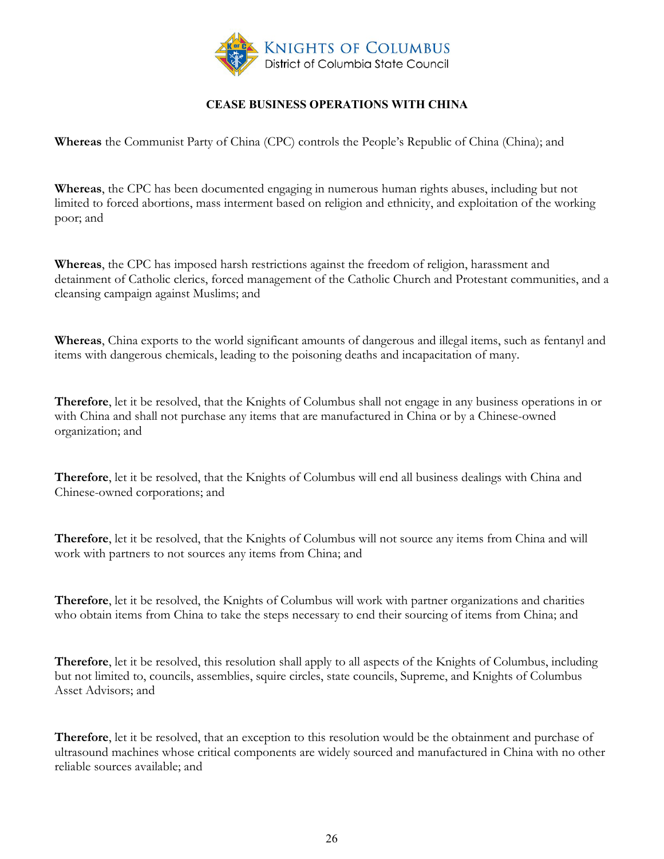

## **CEASE BUSINESS OPERATIONS WITH CHINA**

<span id="page-25-0"></span>**Whereas** the Communist Party of China (CPC) controls the People's Republic of China (China); and

**Whereas**, the CPC has been documented engaging in numerous human rights abuses, including but not limited to forced abortions, mass interment based on religion and ethnicity, and exploitation of the working poor; and

**Whereas**, the CPC has imposed harsh restrictions against the freedom of religion, harassment and detainment of Catholic clerics, forced management of the Catholic Church and Protestant communities, and a cleansing campaign against Muslims; and

**Whereas**, China exports to the world significant amounts of dangerous and illegal items, such as fentanyl and items with dangerous chemicals, leading to the poisoning deaths and incapacitation of many.

**Therefore**, let it be resolved, that the Knights of Columbus shall not engage in any business operations in or with China and shall not purchase any items that are manufactured in China or by a Chinese-owned organization; and

**Therefore**, let it be resolved, that the Knights of Columbus will end all business dealings with China and Chinese-owned corporations; and

**Therefore**, let it be resolved, that the Knights of Columbus will not source any items from China and will work with partners to not sources any items from China; and

**Therefore**, let it be resolved, the Knights of Columbus will work with partner organizations and charities who obtain items from China to take the steps necessary to end their sourcing of items from China; and

**Therefore**, let it be resolved, this resolution shall apply to all aspects of the Knights of Columbus, including but not limited to, councils, assemblies, squire circles, state councils, Supreme, and Knights of Columbus Asset Advisors; and

**Therefore**, let it be resolved, that an exception to this resolution would be the obtainment and purchase of ultrasound machines whose critical components are widely sourced and manufactured in China with no other reliable sources available; and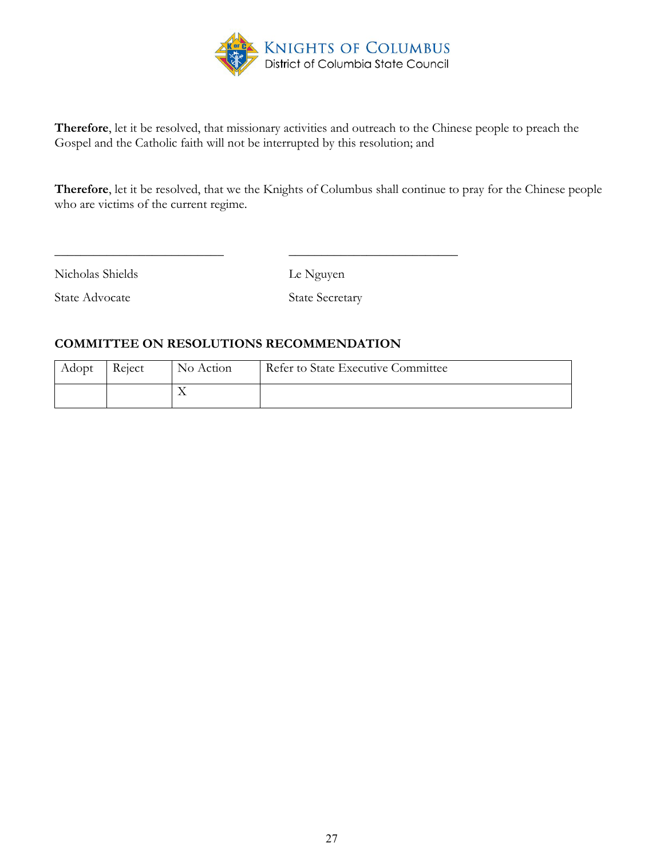

**Therefore**, let it be resolved, that missionary activities and outreach to the Chinese people to preach the Gospel and the Catholic faith will not be interrupted by this resolution; and

**Therefore**, let it be resolved, that we the Knights of Columbus shall continue to pray for the Chinese people who are victims of the current regime.

Nicholas Shields Le Nguyen

State Advocate State Secretary

#### **COMMITTEE ON RESOLUTIONS RECOMMENDATION**

| Adopt | Reject | No Action | Refer to State Executive Committee |
|-------|--------|-----------|------------------------------------|
|       |        | $\lambda$ |                                    |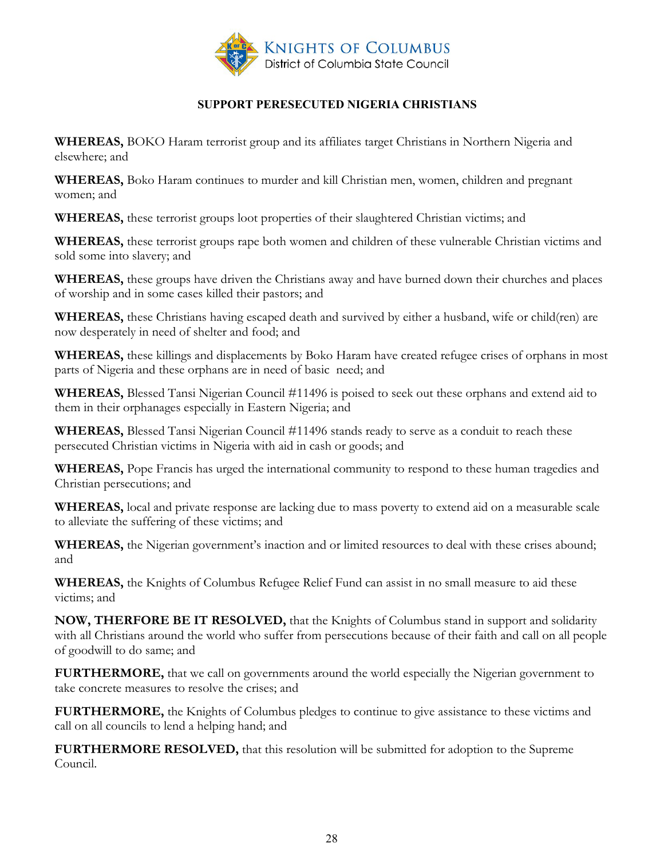

## **SUPPORT PERESECUTED NIGERIA CHRISTIANS**

<span id="page-27-0"></span>**WHEREAS,** BOKO Haram terrorist group and its affiliates target Christians in Northern Nigeria and elsewhere; and

**WHEREAS,** Boko Haram continues to murder and kill Christian men, women, children and pregnant women; and

**WHEREAS,** these terrorist groups loot properties of their slaughtered Christian victims; and

**WHEREAS,** these terrorist groups rape both women and children of these vulnerable Christian victims and sold some into slavery; and

**WHEREAS,** these groups have driven the Christians away and have burned down their churches and places of worship and in some cases killed their pastors; and

**WHEREAS,** these Christians having escaped death and survived by either a husband, wife or child(ren) are now desperately in need of shelter and food; and

**WHEREAS,** these killings and displacements by Boko Haram have created refugee crises of orphans in most parts of Nigeria and these orphans are in need of basic need; and

**WHEREAS,** Blessed Tansi Nigerian Council #11496 is poised to seek out these orphans and extend aid to them in their orphanages especially in Eastern Nigeria; and

**WHEREAS,** Blessed Tansi Nigerian Council #11496 stands ready to serve as a conduit to reach these persecuted Christian victims in Nigeria with aid in cash or goods; and

**WHEREAS,** Pope Francis has urged the international community to respond to these human tragedies and Christian persecutions; and

**WHEREAS,** local and private response are lacking due to mass poverty to extend aid on a measurable scale to alleviate the suffering of these victims; and

**WHEREAS,** the Nigerian government's inaction and or limited resources to deal with these crises abound; and

**WHEREAS,** the Knights of Columbus Refugee Relief Fund can assist in no small measure to aid these victims; and

**NOW, THERFORE BE IT RESOLVED,** that the Knights of Columbus stand in support and solidarity with all Christians around the world who suffer from persecutions because of their faith and call on all people of goodwill to do same; and

FURTHERMORE, that we call on governments around the world especially the Nigerian government to take concrete measures to resolve the crises; and

**FURTHERMORE,** the Knights of Columbus pledges to continue to give assistance to these victims and call on all councils to lend a helping hand; and

**FURTHERMORE RESOLVED,** that this resolution will be submitted for adoption to the Supreme Council.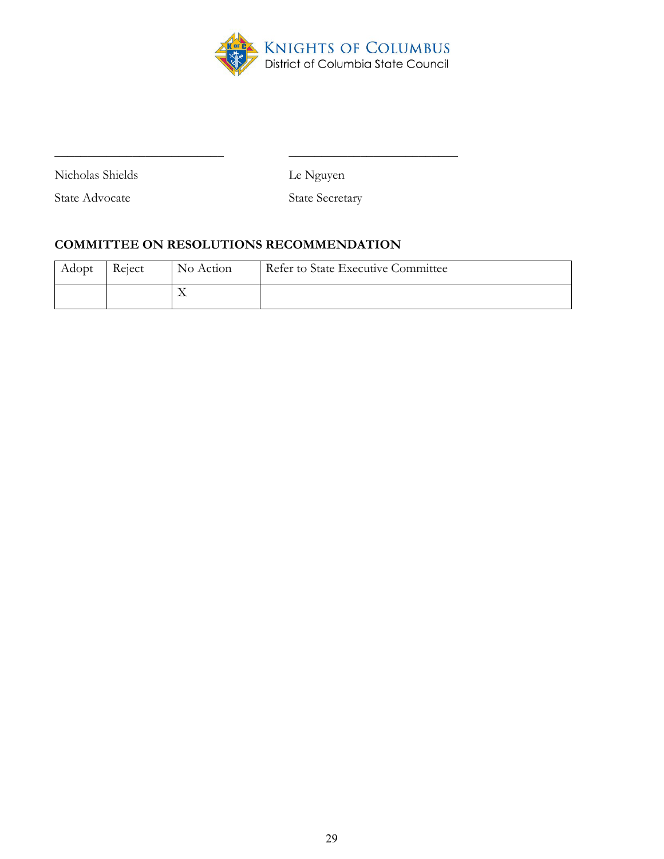

Nicholas Shields Le Nguyen

State Advocate State Secretary

# **COMMITTEE ON RESOLUTIONS RECOMMENDATION**

| Adopt | Reject | No Action | Refer to State Executive Committee |
|-------|--------|-----------|------------------------------------|
|       |        | $\lambda$ |                                    |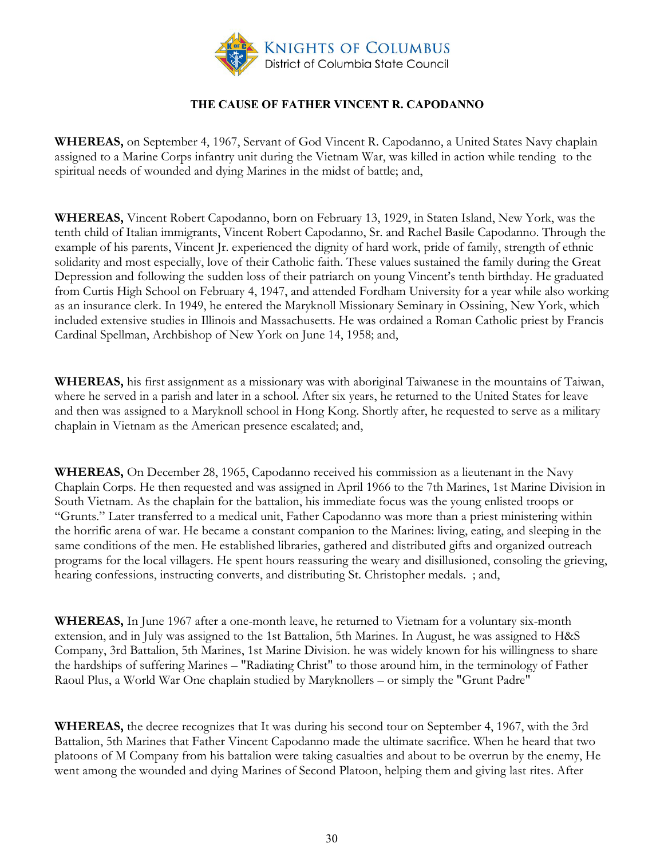

## **THE CAUSE OF FATHER VINCENT R. CAPODANNO**

<span id="page-29-0"></span>**WHEREAS,** on September 4, 1967, Servant of God Vincent R. Capodanno, a United States Navy chaplain assigned to a Marine Corps infantry unit during the Vietnam War, was killed in action while tending to the spiritual needs of wounded and dying Marines in the midst of battle; and,

**WHEREAS,** Vincent Robert Capodanno, born on February 13, 1929, in Staten Island, New York, was the tenth child of Italian immigrants, Vincent Robert Capodanno, Sr. and Rachel Basile Capodanno. Through the example of his parents, Vincent Jr. experienced the dignity of hard work, pride of family, strength of ethnic solidarity and most especially, love of their Catholic faith. These values sustained the family during the Great Depression and following the sudden loss of their patriarch on young Vincent's tenth birthday. He graduated from Curtis High School on February 4, 1947, and attended Fordham University for a year while also working as an insurance clerk. In 1949, he entered the Maryknoll Missionary Seminary in Ossining, New York, which included extensive studies in Illinois and Massachusetts. He was ordained a Roman Catholic priest by Francis Cardinal Spellman, Archbishop of New York on June 14, 1958; and,

**WHEREAS,** his first assignment as a missionary was with aboriginal Taiwanese in the mountains of Taiwan, where he served in a parish and later in a school. After six years, he returned to the United States for leave and then was assigned to a Maryknoll school in Hong Kong. Shortly after, he requested to serve as a military chaplain in Vietnam as the American presence escalated; and,

**WHEREAS,** On December 28, 1965, Capodanno received his commission as a lieutenant in the Navy Chaplain Corps. He then requested and was assigned in April 1966 to the 7th Marines, 1st Marine Division in South Vietnam. As the chaplain for the battalion, his immediate focus was the young enlisted troops or "Grunts." Later transferred to a medical unit, Father Capodanno was more than a priest ministering within the horrific arena of war. He became a constant companion to the Marines: living, eating, and sleeping in the same conditions of the men. He established libraries, gathered and distributed gifts and organized outreach programs for the local villagers. He spent hours reassuring the weary and disillusioned, consoling the grieving, hearing confessions, instructing converts, and distributing St. Christopher medals. ; and,

**WHEREAS,** In June 1967 after a one-month leave, he returned to Vietnam for a voluntary six-month extension, and in July was assigned to the 1st Battalion, 5th Marines. In August, he was assigned to H&S Company, 3rd Battalion, 5th Marines, 1st Marine Division. he was widely known for his willingness to share the hardships of suffering Marines – "Radiating Christ" to those around him, in the terminology of Father Raoul Plus, a World War One chaplain studied by Maryknollers – or simply the "Grunt Padre"

**WHEREAS,** the decree recognizes that It was during his second tour on September 4, 1967, with the 3rd Battalion, 5th Marines that Father Vincent Capodanno made the ultimate sacrifice. When he heard that two platoons of M Company from his battalion were taking casualties and about to be overrun by the enemy, He went among the wounded and dying Marines of Second Platoon, helping them and giving last rites. After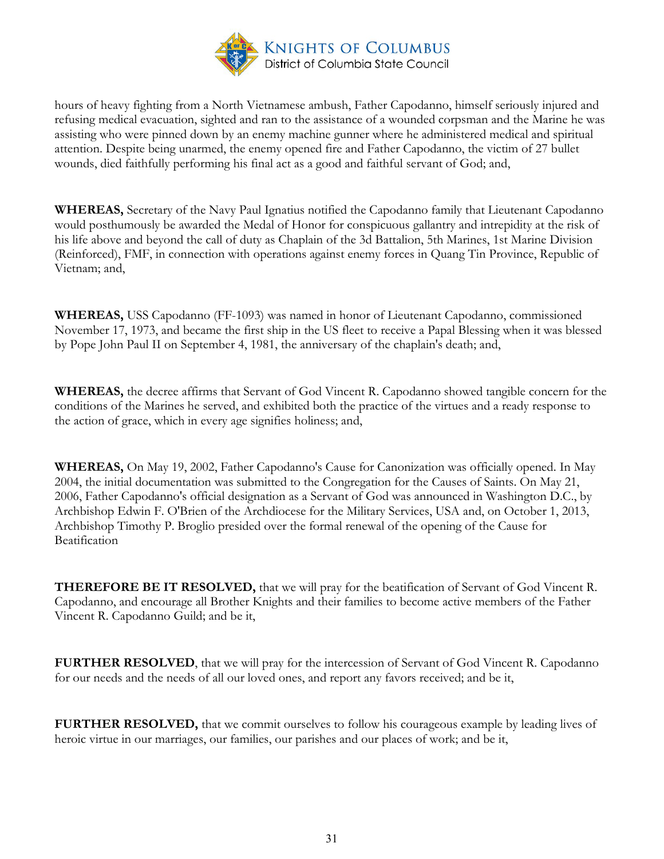

hours of heavy fighting from a North Vietnamese ambush, Father Capodanno, himself seriously injured and refusing medical evacuation, sighted and ran to the assistance of a wounded corpsman and the Marine he was assisting who were pinned down by an enemy machine gunner where he administered medical and spiritual attention. Despite being unarmed, the enemy opened fire and Father Capodanno, the victim of 27 bullet wounds, died faithfully performing his final act as a good and faithful servant of God; and,

**WHEREAS,** Secretary of the Navy Paul Ignatius notified the Capodanno family that Lieutenant Capodanno would posthumously be awarded the Medal of Honor for conspicuous gallantry and intrepidity at the risk of his life above and beyond the call of duty as Chaplain of the 3d Battalion, 5th Marines, 1st Marine Division (Reinforced), FMF, in connection with operations against enemy forces in Quang Tin Province, Republic of Vietnam; and,

**WHEREAS,** USS Capodanno (FF-1093) was named in honor of Lieutenant Capodanno, commissioned November 17, 1973, and became the first ship in the US fleet to receive a Papal Blessing when it was blessed by Pope John Paul II on September 4, 1981, the anniversary of the chaplain's death; and,

**WHEREAS,** the decree affirms that Servant of God Vincent R. Capodanno showed tangible concern for the conditions of the Marines he served, and exhibited both the practice of the virtues and a ready response to the action of grace, which in every age signifies holiness; and,

**WHEREAS,** On May 19, 2002, Father Capodanno's Cause for Canonization was officially opened. In May 2004, the initial documentation was submitted to the Congregation for the Causes of Saints. On May 21, 2006, Father Capodanno's official designation as a Servant of God was announced in Washington D.C., by Archbishop Edwin F. O'Brien of the Archdiocese for the Military Services, USA and, on October 1, 2013, Archbishop Timothy P. Broglio presided over the formal renewal of the opening of the Cause for Beatification

**THEREFORE BE IT RESOLVED,** that we will pray for the beatification of Servant of God Vincent R. Capodanno, and encourage all Brother Knights and their families to become active members of the Father Vincent R. Capodanno Guild; and be it,

**FURTHER RESOLVED**, that we will pray for the intercession of Servant of God Vincent R. Capodanno for our needs and the needs of all our loved ones, and report any favors received; and be it,

**FURTHER RESOLVED,** that we commit ourselves to follow his courageous example by leading lives of heroic virtue in our marriages, our families, our parishes and our places of work; and be it,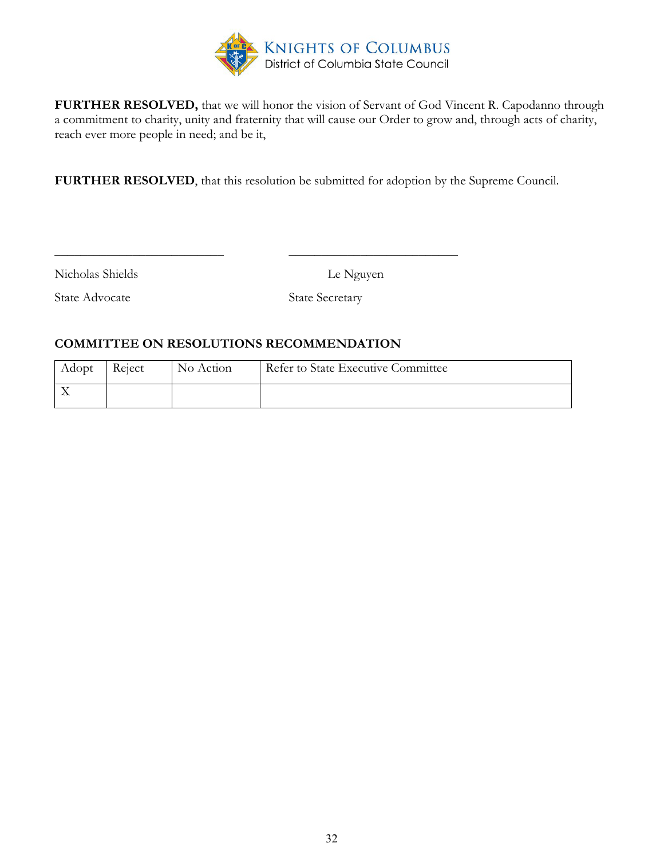

**FURTHER RESOLVED,** that we will honor the vision of Servant of God Vincent R. Capodanno through a commitment to charity, unity and fraternity that will cause our Order to grow and, through acts of charity, reach ever more people in need; and be it,

**FURTHER RESOLVED**, that this resolution be submitted for adoption by the Supreme Council.

Nicholas Shields Le Nguyen

State Advocate State Secretary

#### **COMMITTEE ON RESOLUTIONS RECOMMENDATION**

| Adopt | Reject | No Action | Refer to State Executive Committee |
|-------|--------|-----------|------------------------------------|
|       |        |           |                                    |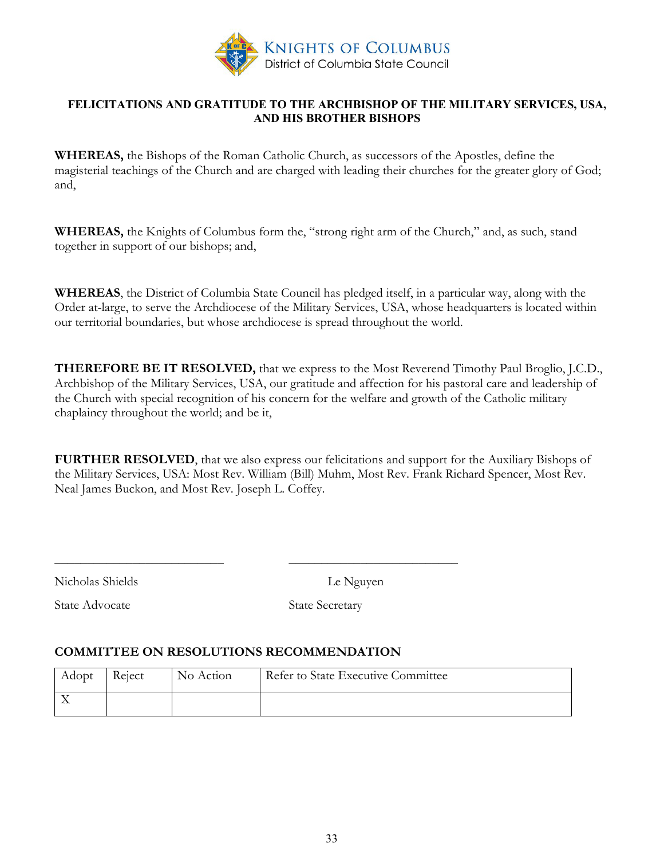

#### <span id="page-32-0"></span>**FELICITATIONS AND GRATITUDE TO THE ARCHBISHOP OF THE MILITARY SERVICES, USA, AND HIS BROTHER BISHOPS**

**WHEREAS,** the Bishops of the Roman Catholic Church, as successors of the Apostles, define the magisterial teachings of the Church and are charged with leading their churches for the greater glory of God; and,

**WHEREAS,** the Knights of Columbus form the, "strong right arm of the Church," and, as such, stand together in support of our bishops; and,

**WHEREAS**, the District of Columbia State Council has pledged itself, in a particular way, along with the Order at-large, to serve the Archdiocese of the Military Services, USA, whose headquarters is located within our territorial boundaries, but whose archdiocese is spread throughout the world.

**THEREFORE BE IT RESOLVED,** that we express to the Most Reverend Timothy Paul Broglio, J.C.D., Archbishop of the Military Services, USA, our gratitude and affection for his pastoral care and leadership of the Church with special recognition of his concern for the welfare and growth of the Catholic military chaplaincy throughout the world; and be it,

**FURTHER RESOLVED**, that we also express our felicitations and support for the Auxiliary Bishops of the Military Services, USA: Most Rev. William (Bill) Muhm, Most Rev. Frank Richard Spencer, Most Rev. Neal James Buckon, and Most Rev. Joseph L. Coffey.

Nicholas Shields Le Nguyen

State Advocate State Secretary

## **COMMITTEE ON RESOLUTIONS RECOMMENDATION**

| Adopt | Reject | No Action | Refer to State Executive Committee |
|-------|--------|-----------|------------------------------------|
|       |        |           |                                    |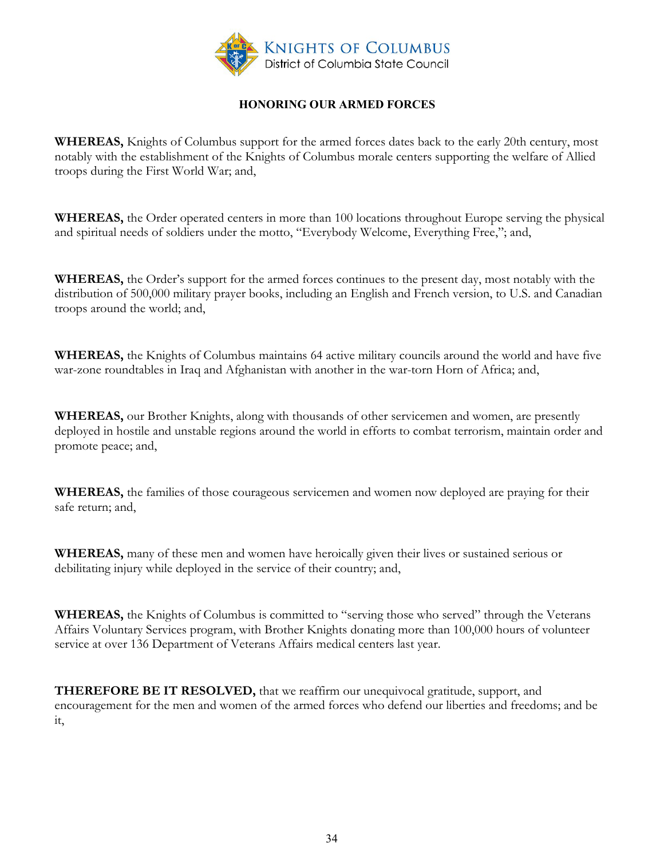

## **HONORING OUR ARMED FORCES**

<span id="page-33-0"></span>**WHEREAS,** Knights of Columbus support for the armed forces dates back to the early 20th century, most notably with the establishment of the Knights of Columbus morale centers supporting the welfare of Allied troops during the First World War; and,

**WHEREAS,** the Order operated centers in more than 100 locations throughout Europe serving the physical and spiritual needs of soldiers under the motto, "Everybody Welcome, Everything Free,"; and,

**WHEREAS,** the Order's support for the armed forces continues to the present day, most notably with the distribution of 500,000 military prayer books, including an English and French version, to U.S. and Canadian troops around the world; and,

**WHEREAS,** the Knights of Columbus maintains 64 active military councils around the world and have five war-zone roundtables in Iraq and Afghanistan with another in the war-torn Horn of Africa; and,

**WHEREAS,** our Brother Knights, along with thousands of other servicemen and women, are presently deployed in hostile and unstable regions around the world in efforts to combat terrorism, maintain order and promote peace; and,

**WHEREAS,** the families of those courageous servicemen and women now deployed are praying for their safe return; and,

**WHEREAS,** many of these men and women have heroically given their lives or sustained serious or debilitating injury while deployed in the service of their country; and,

**WHEREAS,** the Knights of Columbus is committed to "serving those who served" through the Veterans Affairs Voluntary Services program, with Brother Knights donating more than 100,000 hours of volunteer service at over 136 Department of Veterans Affairs medical centers last year.

**THEREFORE BE IT RESOLVED,** that we reaffirm our unequivocal gratitude, support, and encouragement for the men and women of the armed forces who defend our liberties and freedoms; and be it,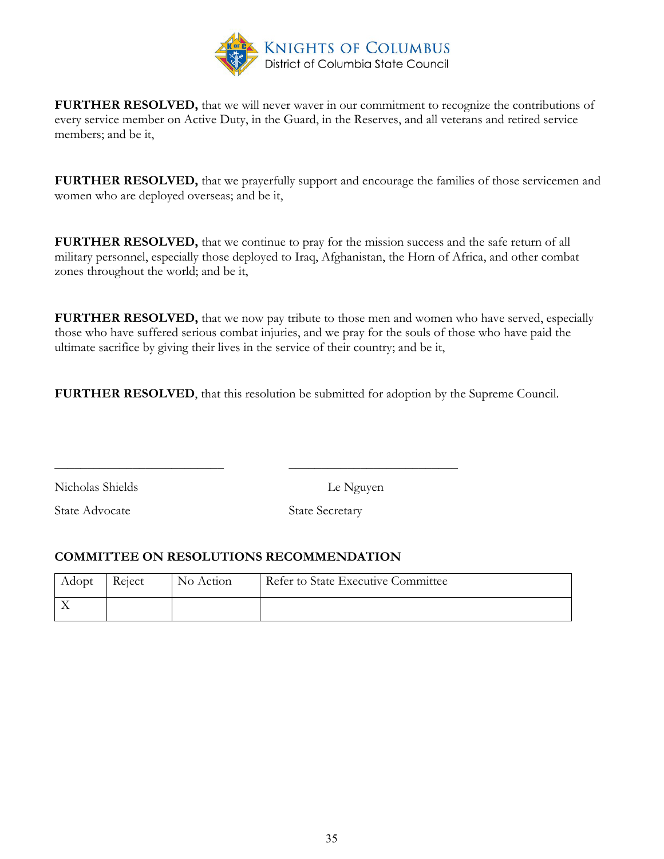

**FURTHER RESOLVED,** that we will never waver in our commitment to recognize the contributions of every service member on Active Duty, in the Guard, in the Reserves, and all veterans and retired service members; and be it,

**FURTHER RESOLVED,** that we prayerfully support and encourage the families of those servicemen and women who are deployed overseas; and be it,

**FURTHER RESOLVED,** that we continue to pray for the mission success and the safe return of all military personnel, especially those deployed to Iraq, Afghanistan, the Horn of Africa, and other combat zones throughout the world; and be it,

**FURTHER RESOLVED,** that we now pay tribute to those men and women who have served, especially those who have suffered serious combat injuries, and we pray for the souls of those who have paid the ultimate sacrifice by giving their lives in the service of their country; and be it,

**FURTHER RESOLVED**, that this resolution be submitted for adoption by the Supreme Council.

Nicholas Shields Le Nguyen

State Advocate State Secretary

## **COMMITTEE ON RESOLUTIONS RECOMMENDATION**

| Adopt | Reject | No Action | Refer to State Executive Committee |
|-------|--------|-----------|------------------------------------|
|       |        |           |                                    |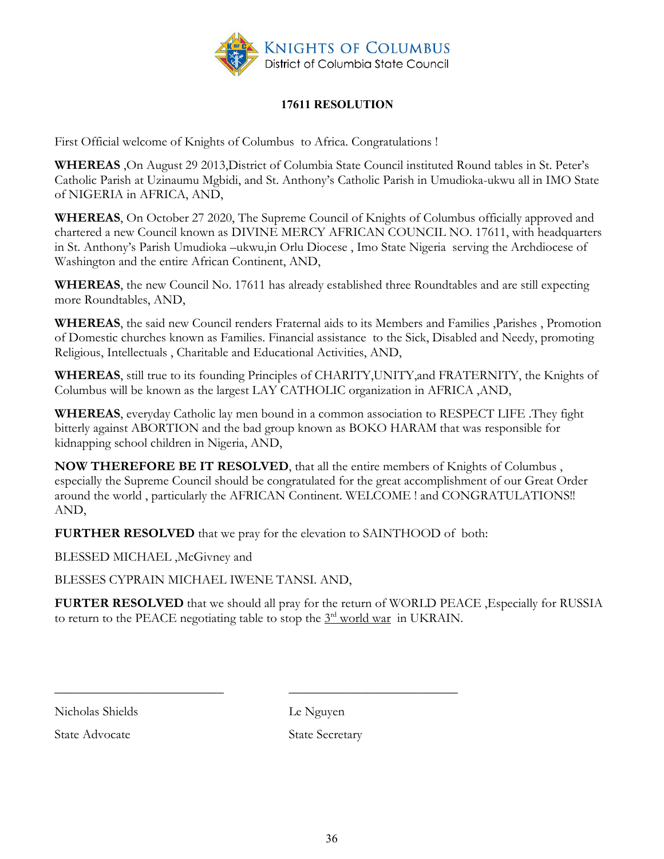

# **17611 RESOLUTION**

<span id="page-35-0"></span>First Official welcome of Knights of Columbus to Africa. Congratulations !

**WHEREAS** ,On August 29 2013,District of Columbia State Council instituted Round tables in St. Peter's Catholic Parish at Uzinaumu Mgbidi, and St. Anthony's Catholic Parish in Umudioka-ukwu all in IMO State of NIGERIA in AFRICA, AND,

**WHEREAS**, On October 27 2020, The Supreme Council of Knights of Columbus officially approved and chartered a new Council known as DIVINE MERCY AFRICAN COUNCIL NO. 17611, with headquarters in St. Anthony's Parish Umudioka –ukwu,in Orlu Diocese , Imo State Nigeria serving the Archdiocese of Washington and the entire African Continent, AND,

**WHEREAS**, the new Council No. 17611 has already established three Roundtables and are still expecting more Roundtables, AND,

**WHEREAS**, the said new Council renders Fraternal aids to its Members and Families ,Parishes , Promotion of Domestic churches known as Families. Financial assistance to the Sick, Disabled and Needy, promoting Religious, Intellectuals , Charitable and Educational Activities, AND,

**WHEREAS**, still true to its founding Principles of CHARITY,UNITY,and FRATERNITY, the Knights of Columbus will be known as the largest LAY CATHOLIC organization in AFRICA ,AND,

**WHEREAS**, everyday Catholic lay men bound in a common association to RESPECT LIFE .They fight bitterly against ABORTION and the bad group known as BOKO HARAM that was responsible for kidnapping school children in Nigeria, AND,

**NOW THEREFORE BE IT RESOLVED**, that all the entire members of Knights of Columbus , especially the Supreme Council should be congratulated for the great accomplishment of our Great Order around the world , particularly the AFRICAN Continent. WELCOME ! and CONGRATULATIONS!! AND,

**FURTHER RESOLVED** that we pray for the elevation to SAINTHOOD of both:

\_\_\_\_\_\_\_\_\_\_\_\_\_\_\_\_\_\_\_\_\_\_\_\_\_\_ \_\_\_\_\_\_\_\_\_\_\_\_\_\_\_\_\_\_\_\_\_\_\_\_\_\_

BLESSED MICHAEL ,McGivney and

BLESSES CYPRAIN MICHAEL IWENE TANSI. AND,

**FURTER RESOLVED** that we should all pray for the return of WORLD PEACE ,Especially for RUSSIA to return to the PEACE negotiating table to stop the  $3<sup>rd</sup>$  world war in UKRAIN.

Nicholas Shields Le Nguyen

State Advocate State Secretary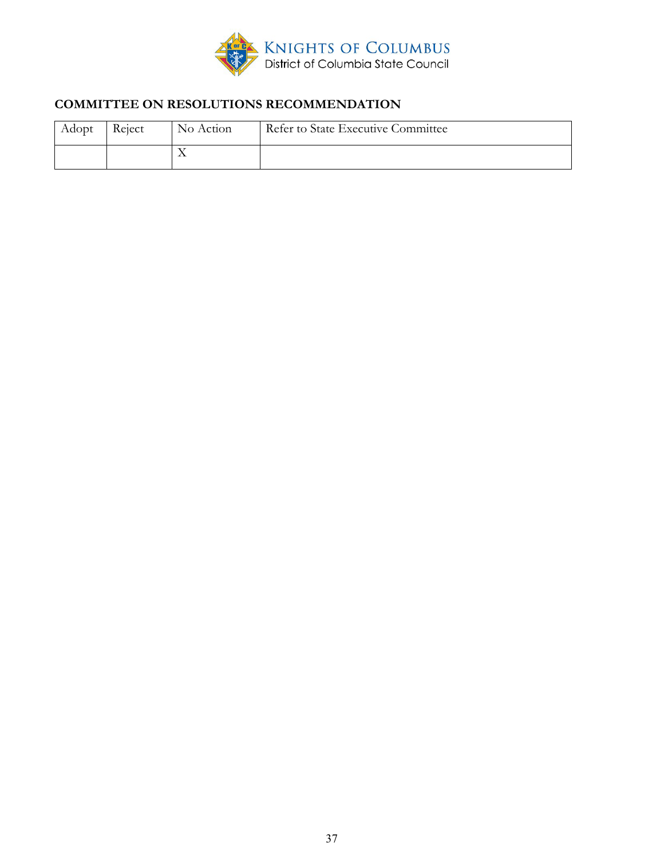

# **COMMITTEE ON RESOLUTIONS RECOMMENDATION**

| Adopt | Reject | No Action | Refer to State Executive Committee |
|-------|--------|-----------|------------------------------------|
|       |        |           |                                    |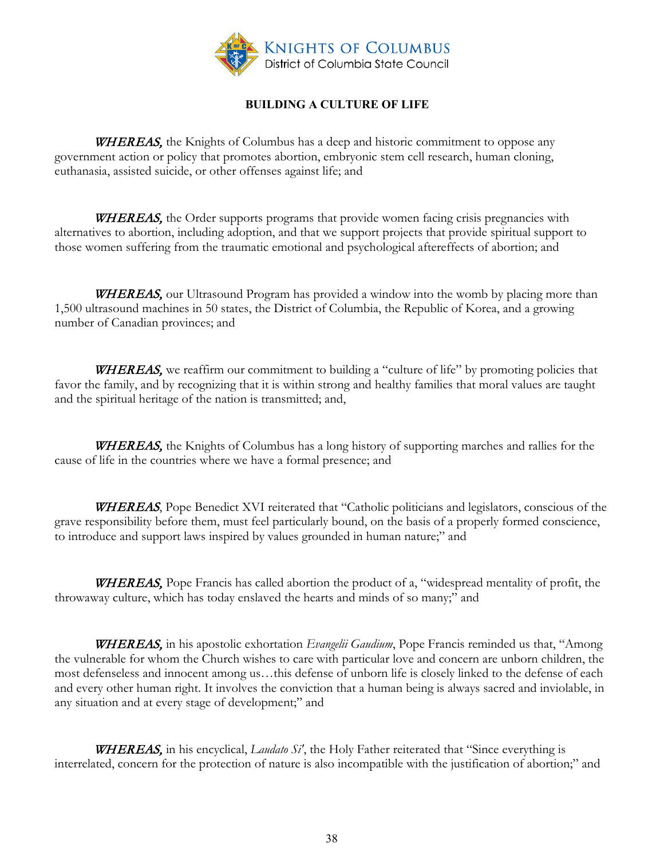

### **BUILDING A CULTURE OF LIFE**

<span id="page-37-0"></span>**WHEREAS**, the Knights of Columbus has a deep and historic commitment to oppose any government action or policy that promotes abortion, embryonic stem cell research, human cloning, euthanasia, assisted suicide, or other offenses against life; and

WHEREAS, the Order supports programs that provide women facing crisis pregnancies with alternatives to abortion, including adoption, and that we support projects that provide spiritual support to those women suffering from the traumatic emotional and psychological aftereffects of abortion; and

WHEREAS, our Ultrasound Program has provided a window into the womb by placing more than 1,500 ultrasound machines in 50 states, the District of Columbia, the Republic of Korea, and a growing number of Canadian provinces; and

WHEREAS, we reaffirm our commitment to building a "culture of life" by promoting policies that favor the family, and by recognizing that it is within strong and healthy families that moral values are taught and the spiritual heritage of the nation is transmitted; and,

**WHEREAS**, the Knights of Columbus has a long history of supporting marches and rallies for the cause of life in the countries where we have a formal presence; and

WHEREAS, Pope Benedict XVI reiterated that "Catholic politicians and legislators, conscious of the grave responsibility before them, must feel particularly bound, on the basis of a properly formed conscience, to introduce and support laws inspired by values grounded in human nature;" and

WHEREAS, Pope Francis has called abortion the product of a, "widespread mentality of profit, the throwaway culture, which has today enslaved the hearts and minds of so many;" and

WHEREAS, in his apostolic exhortation *Evangelii Gaudium*, Pope Francis reminded us that, "Among the vulnerable for whom the Church wishes to care with particular love and concern are unborn children, the most defenseless and innocent among us…this defense of unborn life is closely linked to the defense of each and every other human right. It involves the conviction that a human being is always sacred and inviolable, in any situation and at every stage of development;" and

WHEREAS, in his encyclical, *Laudato Si'*, the Holy Father reiterated that "Since everything is interrelated, concern for the protection of nature is also incompatible with the justification of abortion;" and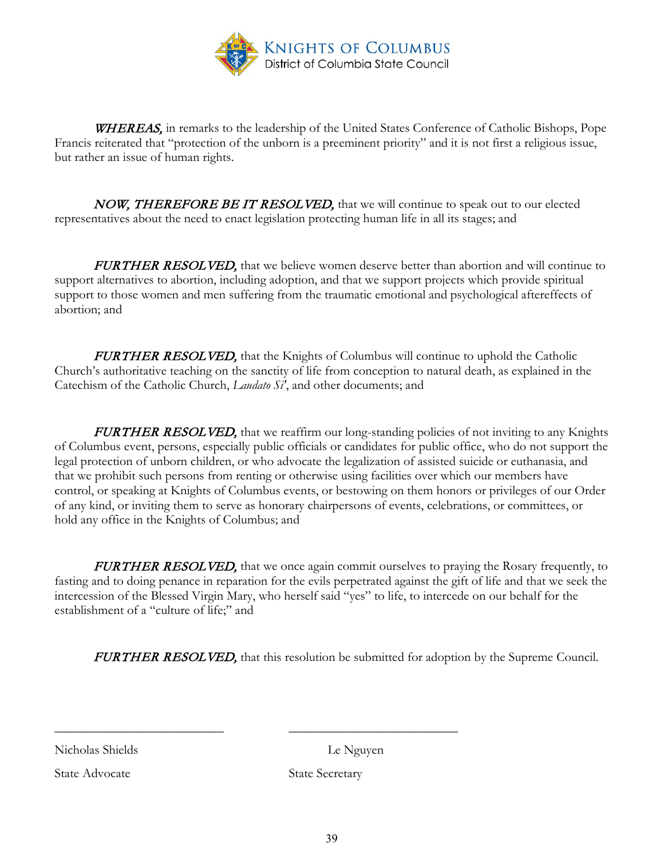

WHEREAS, in remarks to the leadership of the United States Conference of Catholic Bishops, Pope Francis reiterated that "protection of the unborn is a preeminent priority" and it is not first a religious issue, but rather an issue of human rights.

NOW, THEREFORE BE IT RESOLVED, that we will continue to speak out to our elected representatives about the need to enact legislation protecting human life in all its stages; and

**FURTHER RESOLVED,** that we believe women deserve better than abortion and will continue to support alternatives to abortion, including adoption, and that we support projects which provide spiritual support to those women and men suffering from the traumatic emotional and psychological aftereffects of abortion; and

**FURTHER RESOLVED,** that the Knights of Columbus will continue to uphold the Catholic Church's authoritative teaching on the sanctity of life from conception to natural death, as explained in the Catechism of the Catholic Church, *Laudato Si'*, and other documents; and

FURTHER RESOLVED, that we reaffirm our long-standing policies of not inviting to any Knights of Columbus event, persons, especially public officials or candidates for public office, who do not support the legal protection of unborn children, or who advocate the legalization of assisted suicide or euthanasia, and that we prohibit such persons from renting or otherwise using facilities over which our members have control, or speaking at Knights of Columbus events, or bestowing on them honors or privileges of our Order of any kind, or inviting them to serve as honorary chairpersons of events, celebrations, or committees, or hold any office in the Knights of Columbus; and

**FURTHER RESOLVED,** that we once again commit ourselves to praying the Rosary frequently, to fasting and to doing penance in reparation for the evils perpetrated against the gift of life and that we seek the intercession of the Blessed Virgin Mary, who herself said "yes" to life, to intercede on our behalf for the establishment of a "culture of life;" and

FURTHER RESOLVED, that this resolution be submitted for adoption by the Supreme Council.

Nicholas Shields Le Nguyen

State Advocate State Secretary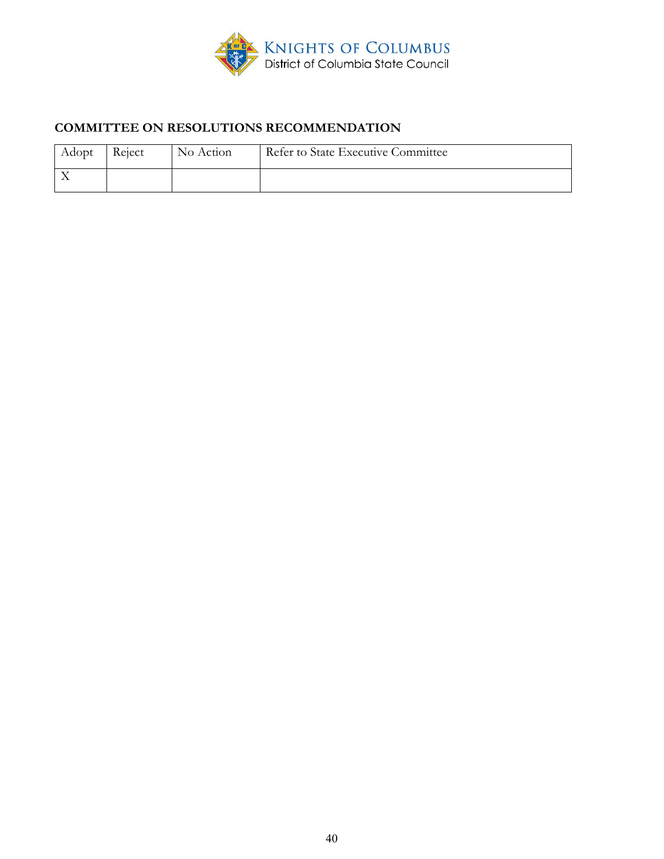

# **COMMITTEE ON RESOLUTIONS RECOMMENDATION**

| Adopt | Reject | No Action | Refer to State Executive Committee |
|-------|--------|-----------|------------------------------------|
|       |        |           |                                    |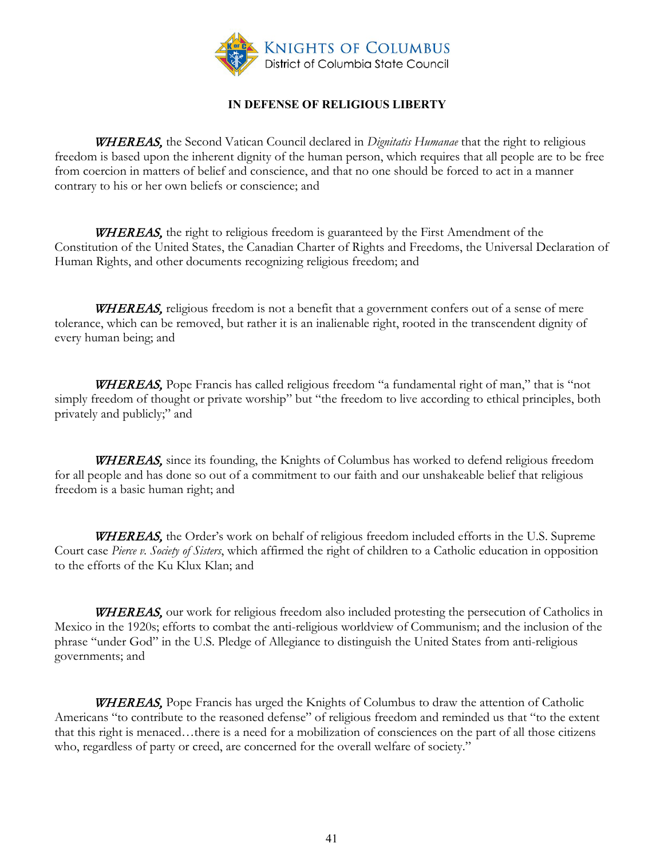

## **IN DEFENSE OF RELIGIOUS LIBERTY**

<span id="page-40-0"></span>WHEREAS, the Second Vatican Council declared in *Dignitatis Humanae* that the right to religious freedom is based upon the inherent dignity of the human person, which requires that all people are to be free from coercion in matters of belief and conscience, and that no one should be forced to act in a manner contrary to his or her own beliefs or conscience; and

WHEREAS, the right to religious freedom is guaranteed by the First Amendment of the Constitution of the United States, the Canadian Charter of Rights and Freedoms, the Universal Declaration of Human Rights, and other documents recognizing religious freedom; and

WHEREAS, religious freedom is not a benefit that a government confers out of a sense of mere tolerance, which can be removed, but rather it is an inalienable right, rooted in the transcendent dignity of every human being; and

WHEREAS, Pope Francis has called religious freedom "a fundamental right of man," that is "not simply freedom of thought or private worship" but "the freedom to live according to ethical principles, both privately and publicly;" and

WHEREAS, since its founding, the Knights of Columbus has worked to defend religious freedom for all people and has done so out of a commitment to our faith and our unshakeable belief that religious freedom is a basic human right; and

WHEREAS, the Order's work on behalf of religious freedom included efforts in the U.S. Supreme Court case *Pierce v. Society of Sisters*, which affirmed the right of children to a Catholic education in opposition to the efforts of the Ku Klux Klan; and

WHEREAS, our work for religious freedom also included protesting the persecution of Catholics in Mexico in the 1920s; efforts to combat the anti-religious worldview of Communism; and the inclusion of the phrase "under God" in the U.S. Pledge of Allegiance to distinguish the United States from anti-religious governments; and

**WHEREAS,** Pope Francis has urged the Knights of Columbus to draw the attention of Catholic Americans "to contribute to the reasoned defense" of religious freedom and reminded us that "to the extent that this right is menaced…there is a need for a mobilization of consciences on the part of all those citizens who, regardless of party or creed, are concerned for the overall welfare of society."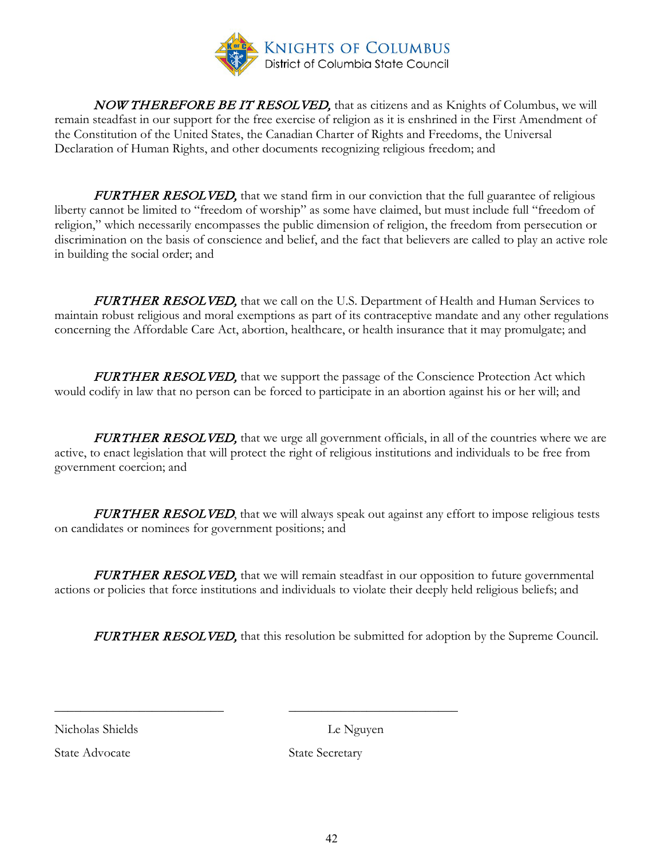

NOW THEREFORE BE IT RESOLVED, that as citizens and as Knights of Columbus, we will remain steadfast in our support for the free exercise of religion as it is enshrined in the First Amendment of the Constitution of the United States, the Canadian Charter of Rights and Freedoms, the Universal Declaration of Human Rights, and other documents recognizing religious freedom; and

FURTHER RESOLVED, that we stand firm in our conviction that the full guarantee of religious liberty cannot be limited to "freedom of worship" as some have claimed, but must include full "freedom of religion," which necessarily encompasses the public dimension of religion, the freedom from persecution or discrimination on the basis of conscience and belief, and the fact that believers are called to play an active role in building the social order; and

FURTHER RESOLVED, that we call on the U.S. Department of Health and Human Services to maintain robust religious and moral exemptions as part of its contraceptive mandate and any other regulations concerning the Affordable Care Act, abortion, healthcare, or health insurance that it may promulgate; and

FURTHER RESOLVED, that we support the passage of the Conscience Protection Act which would codify in law that no person can be forced to participate in an abortion against his or her will; and

FURTHER RESOLVED, that we urge all government officials, in all of the countries where we are active, to enact legislation that will protect the right of religious institutions and individuals to be free from government coercion; and

FURTHER RESOLVED, that we will always speak out against any effort to impose religious tests on candidates or nominees for government positions; and

**FURTHER RESOLVED,** that we will remain steadfast in our opposition to future governmental actions or policies that force institutions and individuals to violate their deeply held religious beliefs; and

\_\_\_\_\_\_\_\_\_\_\_\_\_\_\_\_\_\_\_\_\_\_\_\_\_\_ \_\_\_\_\_\_\_\_\_\_\_\_\_\_\_\_\_\_\_\_\_\_\_\_\_\_

**FURTHER RESOLVED,** that this resolution be submitted for adoption by the Supreme Council.

Nicholas Shields Le Nguyen

State Advocate State Secretary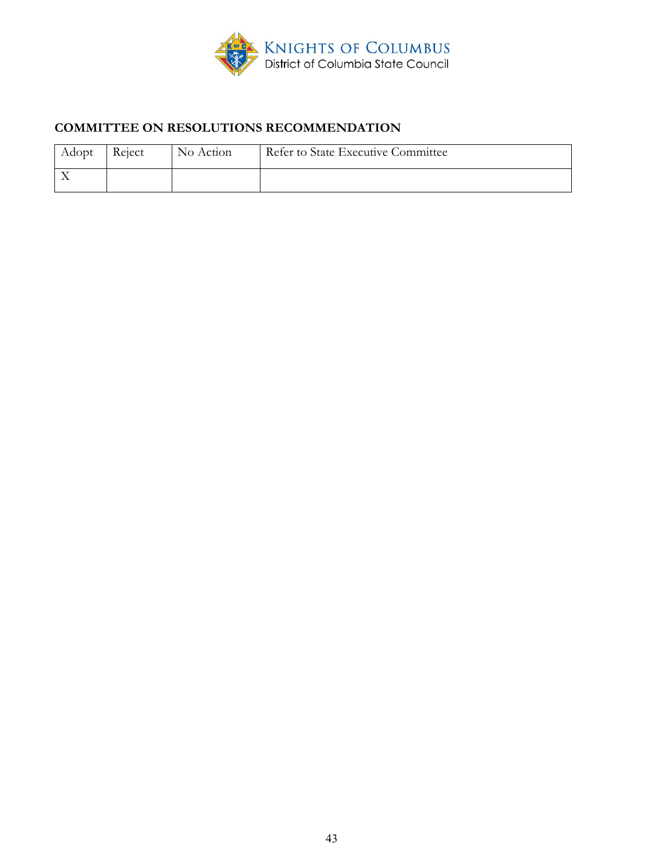

# **COMMITTEE ON RESOLUTIONS RECOMMENDATION**

| Adopt | Reject | No Action | Refer to State Executive Committee |
|-------|--------|-----------|------------------------------------|
|       |        |           |                                    |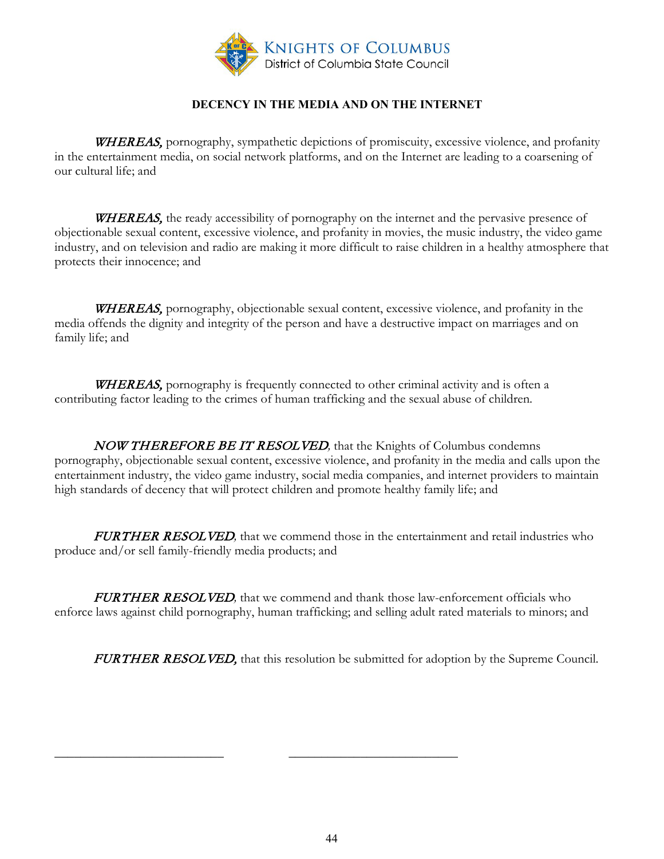

## **DECENCY IN THE MEDIA AND ON THE INTERNET**

<span id="page-43-0"></span>WHEREAS, pornography, sympathetic depictions of promiscuity, excessive violence, and profanity in the entertainment media, on social network platforms, and on the Internet are leading to a coarsening of our cultural life; and

WHEREAS, the ready accessibility of pornography on the internet and the pervasive presence of objectionable sexual content, excessive violence, and profanity in movies, the music industry, the video game industry, and on television and radio are making it more difficult to raise children in a healthy atmosphere that protects their innocence; and

WHEREAS, pornography, objectionable sexual content, excessive violence, and profanity in the media offends the dignity and integrity of the person and have a destructive impact on marriages and on family life; and

WHEREAS, pornography is frequently connected to other criminal activity and is often a contributing factor leading to the crimes of human trafficking and the sexual abuse of children.

NOW THEREFORE BE IT RESOLVED*,* that the Knights of Columbus condemns pornography, objectionable sexual content, excessive violence, and profanity in the media and calls upon the entertainment industry, the video game industry, social media companies, and internet providers to maintain high standards of decency that will protect children and promote healthy family life; and

FURTHER RESOLVED, that we commend those in the entertainment and retail industries who produce and/or sell family-friendly media products; and

FURTHER RESOLVED*,* that we commend and thank those law-enforcement officials who enforce laws against child pornography, human trafficking; and selling adult rated materials to minors; and

FURTHER RESOLVED, that this resolution be submitted for adoption by the Supreme Council.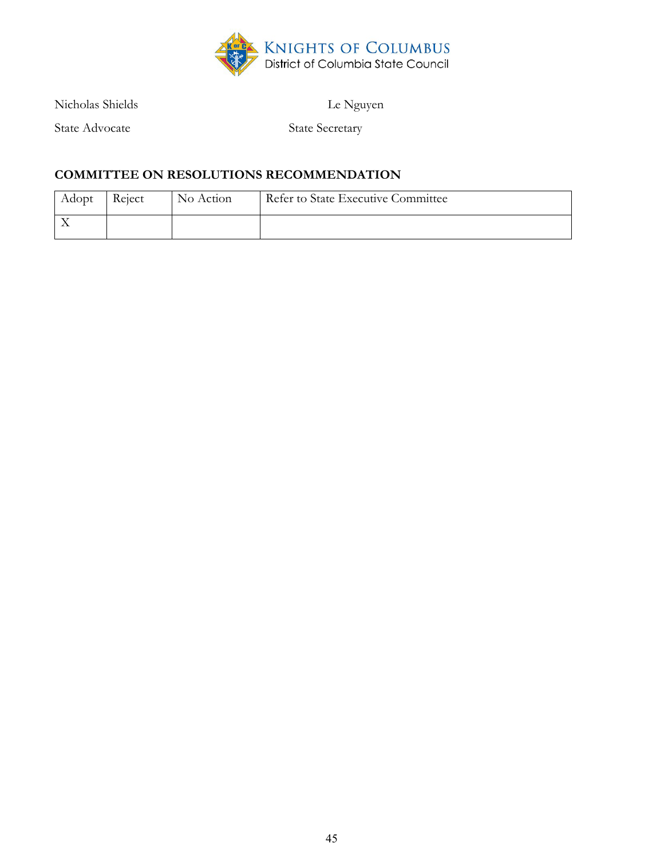

Nicholas Shields Le Nguyen

State Advocate State Secretary

## **COMMITTEE ON RESOLUTIONS RECOMMENDATION**

| Adopt | Reject | No Action | Refer to State Executive Committee |
|-------|--------|-----------|------------------------------------|
|       |        |           |                                    |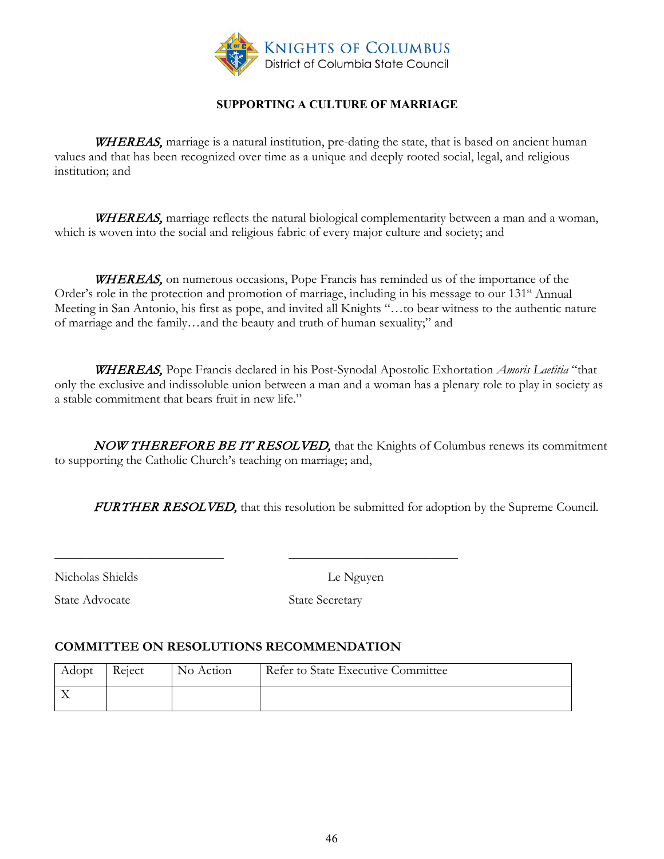

## **SUPPORTING A CULTURE OF MARRIAGE**

<span id="page-45-0"></span>WHEREAS, marriage is a natural institution, pre-dating the state, that is based on ancient human values and that has been recognized over time as a unique and deeply rooted social, legal, and religious institution; and

WHEREAS, marriage reflects the natural biological complementarity between a man and a woman, which is woven into the social and religious fabric of every major culture and society; and

WHEREAS, on numerous occasions, Pope Francis has reminded us of the importance of the Order's role in the protection and promotion of marriage, including in his message to our 131<sup>st</sup> Annual Meeting in San Antonio, his first as pope, and invited all Knights "…to bear witness to the authentic nature of marriage and the family…and the beauty and truth of human sexuality;" and

WHEREAS, Pope Francis declared in his Post-Synodal Apostolic Exhortation *Amoris Laetitia* "that only the exclusive and indissoluble union between a man and a woman has a plenary role to play in society as a stable commitment that bears fruit in new life."

NOW THEREFORE BE IT RESOLVED, that the Knights of Columbus renews its commitment to supporting the Catholic Church's teaching on marriage; and,

FURTHER RESOLVED, that this resolution be submitted for adoption by the Supreme Council.

Nicholas Shields Le Nguyen

State Advocate State Secretary

## **COMMITTEE ON RESOLUTIONS RECOMMENDATION**

| Adopt | Reject | No Action | Refer to State Executive Committee |
|-------|--------|-----------|------------------------------------|
|       |        |           |                                    |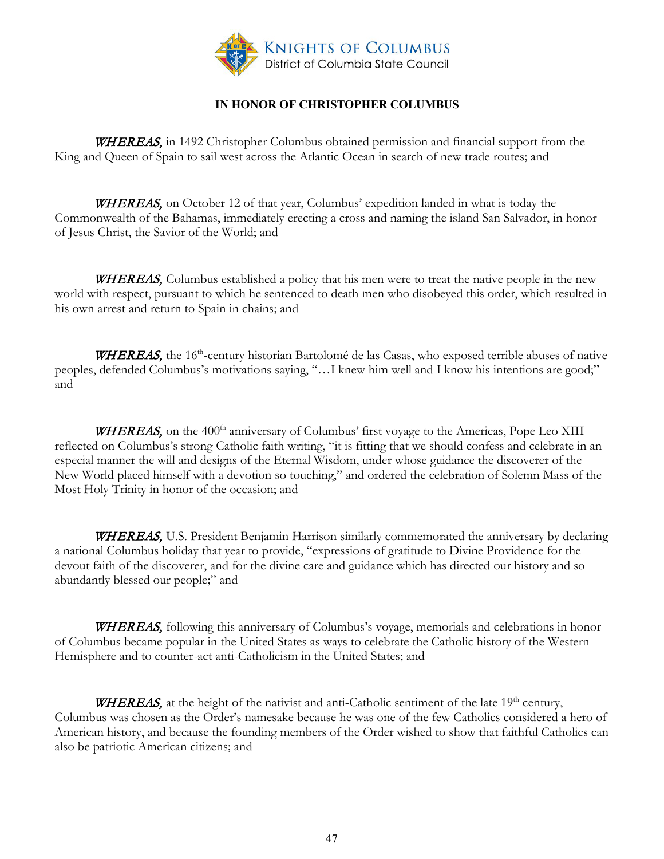

## **IN HONOR OF CHRISTOPHER COLUMBUS**

<span id="page-46-0"></span>WHEREAS, in 1492 Christopher Columbus obtained permission and financial support from the King and Queen of Spain to sail west across the Atlantic Ocean in search of new trade routes; and

WHEREAS, on October 12 of that year, Columbus' expedition landed in what is today the Commonwealth of the Bahamas, immediately erecting a cross and naming the island San Salvador, in honor of Jesus Christ, the Savior of the World; and

**WHEREAS**, Columbus established a policy that his men were to treat the native people in the new world with respect, pursuant to which he sentenced to death men who disobeyed this order, which resulted in his own arrest and return to Spain in chains; and

WHEREAS, the 16<sup>th</sup>-century historian Bartolomé de las Casas, who exposed terrible abuses of native peoples, defended Columbus's motivations saying, "…I knew him well and I know his intentions are good;" and

**WHEREAS**, on the  $400<sup>th</sup>$  anniversary of Columbus' first voyage to the Americas, Pope Leo XIII reflected on Columbus's strong Catholic faith writing, "it is fitting that we should confess and celebrate in an especial manner the will and designs of the Eternal Wisdom, under whose guidance the discoverer of the New World placed himself with a devotion so touching," and ordered the celebration of Solemn Mass of the Most Holy Trinity in honor of the occasion; and

WHEREAS, U.S. President Benjamin Harrison similarly commemorated the anniversary by declaring a national Columbus holiday that year to provide, "expressions of gratitude to Divine Providence for the devout faith of the discoverer, and for the divine care and guidance which has directed our history and so abundantly blessed our people;" and

WHEREAS, following this anniversary of Columbus's voyage, memorials and celebrations in honor of Columbus became popular in the United States as ways to celebrate the Catholic history of the Western Hemisphere and to counter-act anti-Catholicism in the United States; and

**WHEREAS,** at the height of the nativist and anti-Catholic sentiment of the late  $19<sup>th</sup>$  century, Columbus was chosen as the Order's namesake because he was one of the few Catholics considered a hero of American history, and because the founding members of the Order wished to show that faithful Catholics can also be patriotic American citizens; and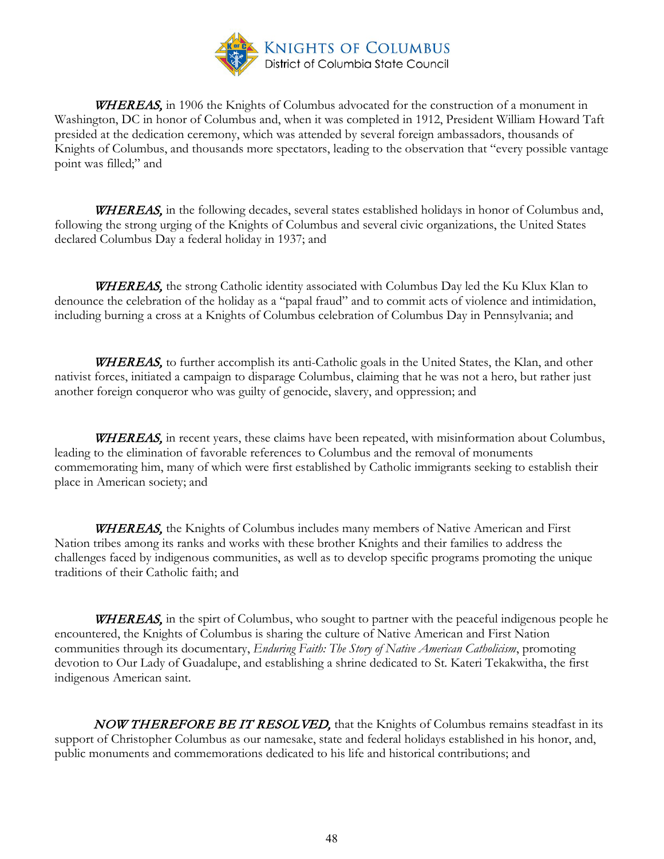

WHEREAS, in 1906 the Knights of Columbus advocated for the construction of a monument in Washington, DC in honor of Columbus and, when it was completed in 1912, President William Howard Taft presided at the dedication ceremony, which was attended by several foreign ambassadors, thousands of Knights of Columbus, and thousands more spectators, leading to the observation that "every possible vantage point was filled;" and

WHEREAS, in the following decades, several states established holidays in honor of Columbus and, following the strong urging of the Knights of Columbus and several civic organizations, the United States declared Columbus Day a federal holiday in 1937; and

WHEREAS, the strong Catholic identity associated with Columbus Day led the Ku Klux Klan to denounce the celebration of the holiday as a "papal fraud" and to commit acts of violence and intimidation, including burning a cross at a Knights of Columbus celebration of Columbus Day in Pennsylvania; and

WHEREAS, to further accomplish its anti-Catholic goals in the United States, the Klan, and other nativist forces, initiated a campaign to disparage Columbus, claiming that he was not a hero, but rather just another foreign conqueror who was guilty of genocide, slavery, and oppression; and

WHEREAS, in recent years, these claims have been repeated, with misinformation about Columbus, leading to the elimination of favorable references to Columbus and the removal of monuments commemorating him, many of which were first established by Catholic immigrants seeking to establish their place in American society; and

WHEREAS, the Knights of Columbus includes many members of Native American and First Nation tribes among its ranks and works with these brother Knights and their families to address the challenges faced by indigenous communities, as well as to develop specific programs promoting the unique traditions of their Catholic faith; and

WHEREAS, in the spirt of Columbus, who sought to partner with the peaceful indigenous people he encountered, the Knights of Columbus is sharing the culture of Native American and First Nation communities through its documentary, *Enduring Faith: The Story of Native American Catholicism*, promoting devotion to Our Lady of Guadalupe, and establishing a shrine dedicated to St. Kateri Tekakwitha, the first indigenous American saint.

NOW THEREFORE BE IT RESOLVED, that the Knights of Columbus remains steadfast in its support of Christopher Columbus as our namesake, state and federal holidays established in his honor, and, public monuments and commemorations dedicated to his life and historical contributions; and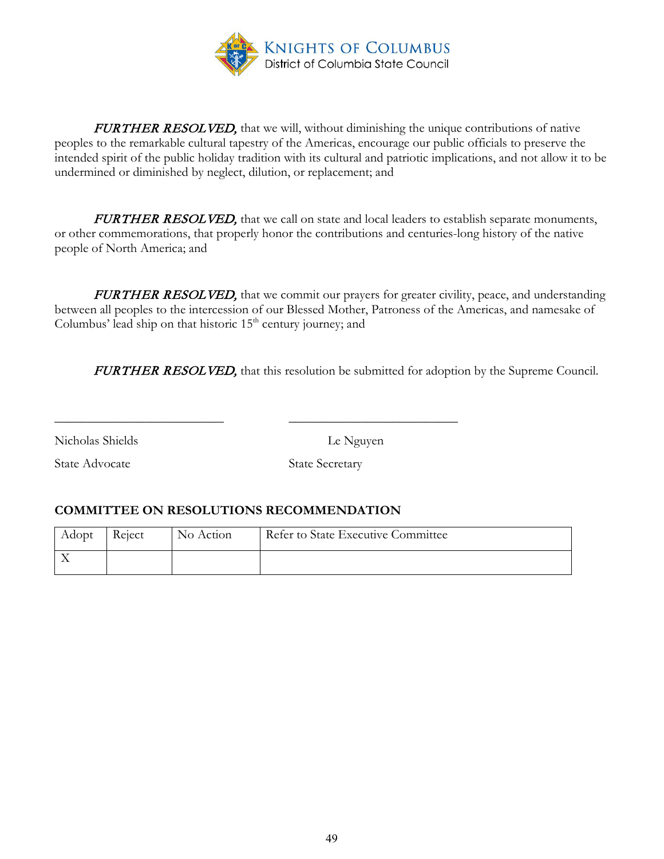

FURTHER RESOLVED, that we will, without diminishing the unique contributions of native peoples to the remarkable cultural tapestry of the Americas, encourage our public officials to preserve the intended spirit of the public holiday tradition with its cultural and patriotic implications, and not allow it to be undermined or diminished by neglect, dilution, or replacement; and

FURTHER RESOLVED, that we call on state and local leaders to establish separate monuments, or other commemorations, that properly honor the contributions and centuries-long history of the native people of North America; and

FURTHER RESOLVED, that we commit our prayers for greater civility, peace, and understanding between all peoples to the intercession of our Blessed Mother, Patroness of the Americas, and namesake of Columbus' lead ship on that historic  $15<sup>th</sup>$  century journey; and

FURTHER RESOLVED, that this resolution be submitted for adoption by the Supreme Council.

Nicholas Shields Le Nguyen

State Advocate State Secretary

# **COMMITTEE ON RESOLUTIONS RECOMMENDATION**

| Adopt | Reject | No Action | Refer to State Executive Committee |
|-------|--------|-----------|------------------------------------|
|       |        |           |                                    |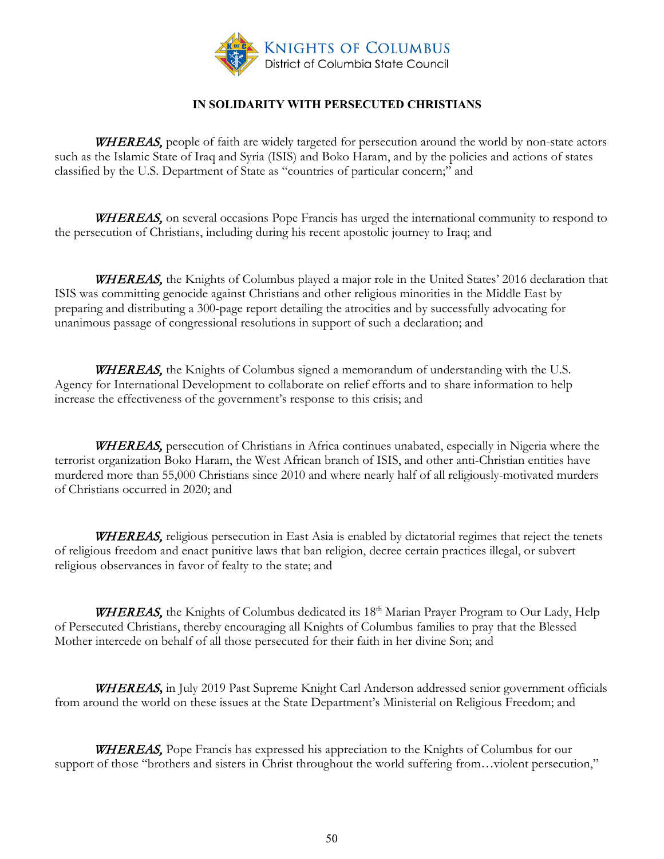

## **IN SOLIDARITY WITH PERSECUTED CHRISTIANS**

<span id="page-49-0"></span>WHEREAS, people of faith are widely targeted for persecution around the world by non-state actors such as the Islamic State of Iraq and Syria (ISIS) and Boko Haram, and by the policies and actions of states classified by the U.S. Department of State as "countries of particular concern;" and

**WHEREAS**, on several occasions Pope Francis has urged the international community to respond to the persecution of Christians, including during his recent apostolic journey to Iraq; and

WHEREAS, the Knights of Columbus played a major role in the United States' 2016 declaration that ISIS was committing genocide against Christians and other religious minorities in the Middle East by preparing and distributing a 300-page report detailing the atrocities and by successfully advocating for unanimous passage of congressional resolutions in support of such a declaration; and

WHEREAS, the Knights of Columbus signed a memorandum of understanding with the U.S. Agency for International Development to collaborate on relief efforts and to share information to help increase the effectiveness of the government's response to this crisis; and

WHEREAS, persecution of Christians in Africa continues unabated, especially in Nigeria where the terrorist organization Boko Haram, the West African branch of ISIS, and other anti-Christian entities have murdered more than 55,000 Christians since 2010 and where nearly half of all religiously-motivated murders of Christians occurred in 2020; and

WHEREAS, religious persecution in East Asia is enabled by dictatorial regimes that reject the tenets of religious freedom and enact punitive laws that ban religion, decree certain practices illegal, or subvert religious observances in favor of fealty to the state; and

WHEREAS, the Knights of Columbus dedicated its 18<sup>th</sup> Marian Prayer Program to Our Lady, Help of Persecuted Christians, thereby encouraging all Knights of Columbus families to pray that the Blessed Mother intercede on behalf of all those persecuted for their faith in her divine Son; and

WHEREAS**,** in July 2019 Past Supreme Knight Carl Anderson addressed senior government officials from around the world on these issues at the State Department's Ministerial on Religious Freedom; and

WHEREAS, Pope Francis has expressed his appreciation to the Knights of Columbus for our support of those "brothers and sisters in Christ throughout the world suffering from…violent persecution,"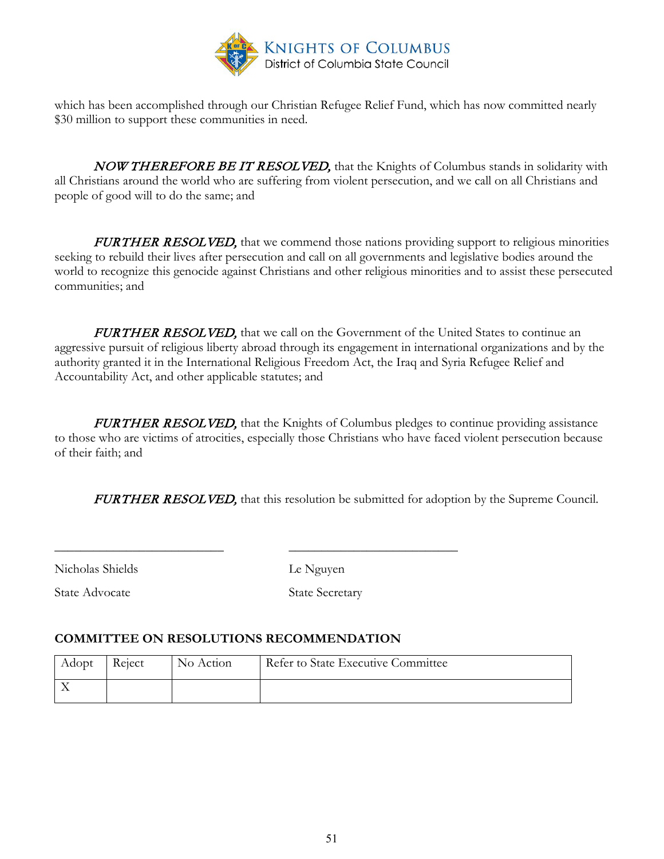

which has been accomplished through our Christian Refugee Relief Fund, which has now committed nearly \$30 million to support these communities in need.

NOW THEREFORE BE IT RESOLVED, that the Knights of Columbus stands in solidarity with all Christians around the world who are suffering from violent persecution, and we call on all Christians and people of good will to do the same; and

**FURTHER RESOLVED,** that we commend those nations providing support to religious minorities seeking to rebuild their lives after persecution and call on all governments and legislative bodies around the world to recognize this genocide against Christians and other religious minorities and to assist these persecuted communities; and

FURTHER RESOLVED, that we call on the Government of the United States to continue an aggressive pursuit of religious liberty abroad through its engagement in international organizations and by the authority granted it in the International Religious Freedom Act, the Iraq and Syria Refugee Relief and Accountability Act, and other applicable statutes; and

FURTHER RESOLVED, that the Knights of Columbus pledges to continue providing assistance to those who are victims of atrocities, especially those Christians who have faced violent persecution because of their faith; and

**FURTHER RESOLVED**, that this resolution be submitted for adoption by the Supreme Council.

Nicholas Shields Le Nguyen

State Advocate State Secretary

## **COMMITTEE ON RESOLUTIONS RECOMMENDATION**

| Adopt | Reject | No Action | Refer to State Executive Committee |
|-------|--------|-----------|------------------------------------|
|       |        |           |                                    |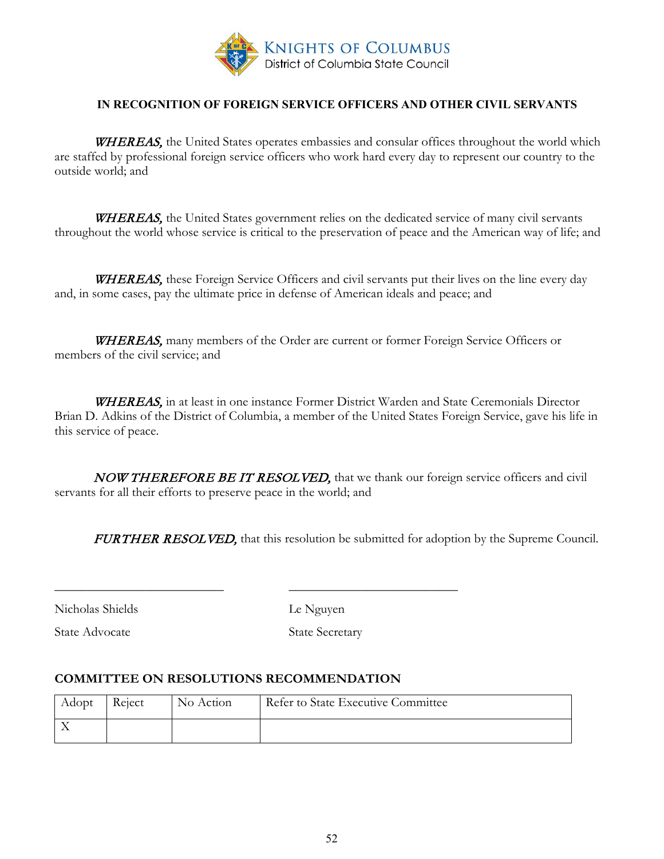

#### **IN RECOGNITION OF FOREIGN SERVICE OFFICERS AND OTHER CIVIL SERVANTS**

<span id="page-51-0"></span>WHEREAS, the United States operates embassies and consular offices throughout the world which are staffed by professional foreign service officers who work hard every day to represent our country to the outside world; and

WHEREAS, the United States government relies on the dedicated service of many civil servants throughout the world whose service is critical to the preservation of peace and the American way of life; and

**WHEREAS**, these Foreign Service Officers and civil servants put their lives on the line every day and, in some cases, pay the ultimate price in defense of American ideals and peace; and

WHEREAS, many members of the Order are current or former Foreign Service Officers or members of the civil service; and

WHEREAS, in at least in one instance Former District Warden and State Ceremonials Director Brian D. Adkins of the District of Columbia, a member of the United States Foreign Service, gave his life in this service of peace.

NOW THEREFORE BE IT RESOLVED, that we thank our foreign service officers and civil servants for all their efforts to preserve peace in the world; and

**FURTHER RESOLVED,** that this resolution be submitted for adoption by the Supreme Council.

Nicholas Shields Le Nguyen

State Advocate State Secretary

#### **COMMITTEE ON RESOLUTIONS RECOMMENDATION**

| Adopt | Reject | No Action | Refer to State Executive Committee |
|-------|--------|-----------|------------------------------------|
|       |        |           |                                    |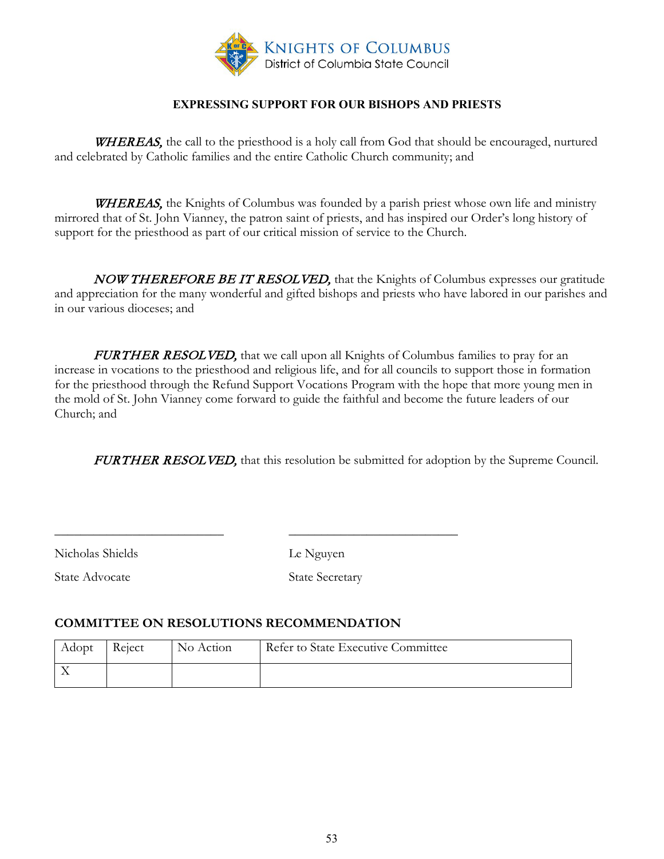

## **EXPRESSING SUPPORT FOR OUR BISHOPS AND PRIESTS**

<span id="page-52-0"></span>**WHEREAS**, the call to the priesthood is a holy call from God that should be encouraged, nurtured and celebrated by Catholic families and the entire Catholic Church community; and

**WHEREAS**, the Knights of Columbus was founded by a parish priest whose own life and ministry mirrored that of St. John Vianney, the patron saint of priests, and has inspired our Order's long history of support for the priesthood as part of our critical mission of service to the Church.

NOW THEREFORE BE IT RESOLVED, that the Knights of Columbus expresses our gratitude and appreciation for the many wonderful and gifted bishops and priests who have labored in our parishes and in our various dioceses; and

FURTHER RESOLVED, that we call upon all Knights of Columbus families to pray for an increase in vocations to the priesthood and religious life, and for all councils to support those in formation for the priesthood through the Refund Support Vocations Program with the hope that more young men in the mold of St. John Vianney come forward to guide the faithful and become the future leaders of our Church; and

**FURTHER RESOLVED,** that this resolution be submitted for adoption by the Supreme Council.

Nicholas Shields Le Nguyen

State Advocate State Secretary

#### **COMMITTEE ON RESOLUTIONS RECOMMENDATION**

| Adopt | Reject | No Action | Refer to State Executive Committee |
|-------|--------|-----------|------------------------------------|
|       |        |           |                                    |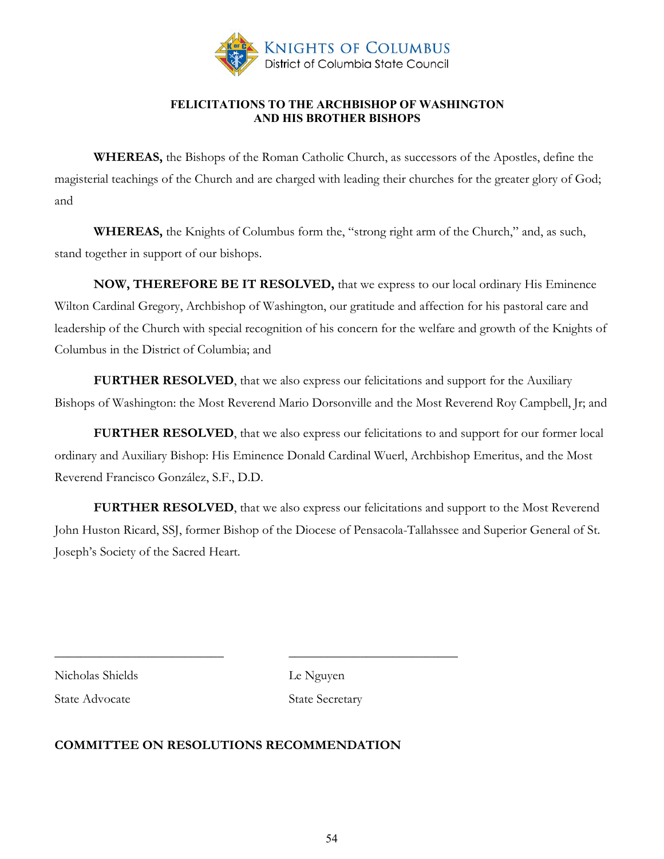

#### **FELICITATIONS TO THE ARCHBISHOP OF WASHINGTON AND HIS BROTHER BISHOPS**

**WHEREAS,** the Bishops of the Roman Catholic Church, as successors of the Apostles, define the magisterial teachings of the Church and are charged with leading their churches for the greater glory of God; and

**WHEREAS,** the Knights of Columbus form the, "strong right arm of the Church," and, as such, stand together in support of our bishops.

**NOW, THEREFORE BE IT RESOLVED,** that we express to our local ordinary His Eminence Wilton Cardinal Gregory, Archbishop of Washington, our gratitude and affection for his pastoral care and leadership of the Church with special recognition of his concern for the welfare and growth of the Knights of Columbus in the District of Columbia; and

**FURTHER RESOLVED**, that we also express our felicitations and support for the Auxiliary Bishops of Washington: the Most Reverend Mario Dorsonville and the Most Reverend Roy Campbell, Jr; and

**FURTHER RESOLVED**, that we also express our felicitations to and support for our former local ordinary and Auxiliary Bishop: His Eminence Donald Cardinal Wuerl, Archbishop Emeritus, and the Most Reverend Francisco González, S.F., D.D.

**FURTHER RESOLVED**, that we also express our felicitations and support to the Most Reverend John Huston Ricard, SSJ, former Bishop of the Diocese of Pensacola-Tallahssee and Superior General of St. Joseph's Society of the Sacred Heart.

Nicholas Shields Le Nguyen

State Advocate State Secretary

## **COMMITTEE ON RESOLUTIONS RECOMMENDATION**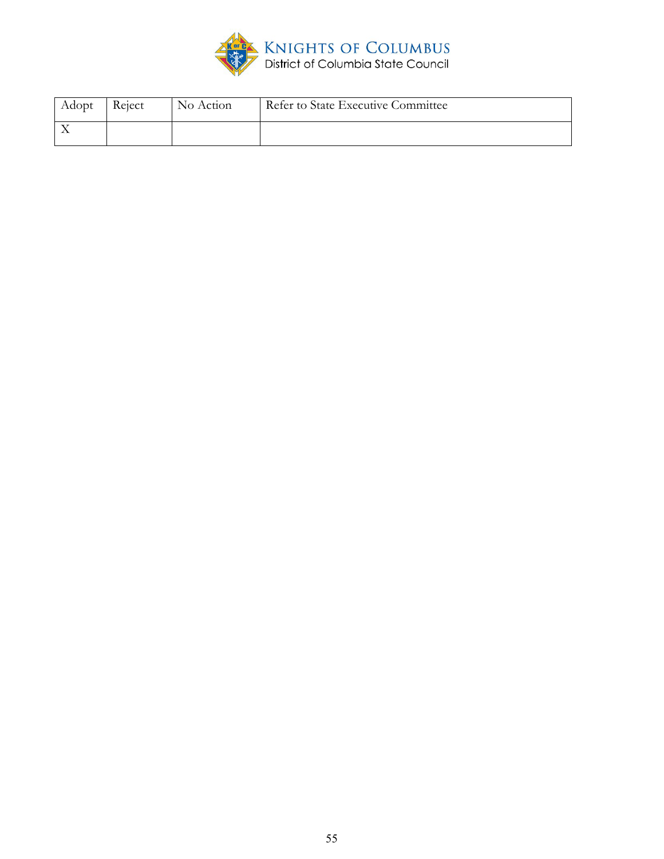

| Adopt | Reject | No Action | Refer to State Executive Committee |
|-------|--------|-----------|------------------------------------|
|       |        |           |                                    |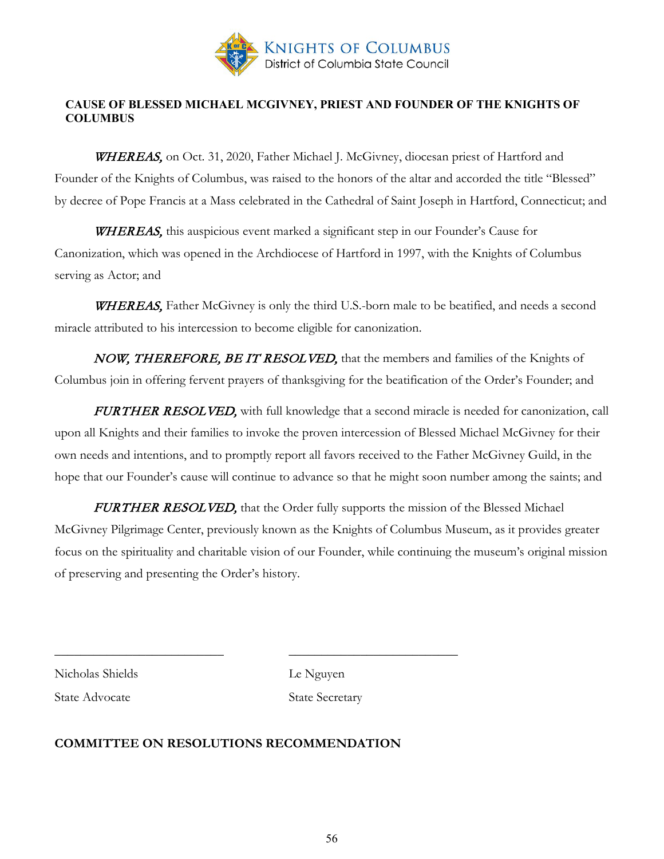

## **CAUSE OF BLESSED MICHAEL MCGIVNEY, PRIEST AND FOUNDER OF THE KNIGHTS OF COLUMBUS**

WHEREAS, on Oct. 31, 2020, Father Michael J. McGivney, diocesan priest of Hartford and Founder of the Knights of Columbus, was raised to the honors of the altar and accorded the title "Blessed" by decree of Pope Francis at a Mass celebrated in the Cathedral of Saint Joseph in Hartford, Connecticut; and

WHEREAS, this auspicious event marked a significant step in our Founder's Cause for Canonization, which was opened in the Archdiocese of Hartford in 1997, with the Knights of Columbus serving as Actor; and

**WHEREAS**, Father McGivney is only the third U.S.-born male to be beatified, and needs a second miracle attributed to his intercession to become eligible for canonization.

NOW, THEREFORE, BE IT RESOLVED, that the members and families of the Knights of Columbus join in offering fervent prayers of thanksgiving for the beatification of the Order's Founder; and

FURTHER RESOLVED, with full knowledge that a second miracle is needed for canonization, call upon all Knights and their families to invoke the proven intercession of Blessed Michael McGivney for their own needs and intentions, and to promptly report all favors received to the Father McGivney Guild, in the hope that our Founder's cause will continue to advance so that he might soon number among the saints; and

FURTHER RESOLVED, that the Order fully supports the mission of the Blessed Michael McGivney Pilgrimage Center, previously known as the Knights of Columbus Museum, as it provides greater focus on the spirituality and charitable vision of our Founder, while continuing the museum's original mission of preserving and presenting the Order's history.

Nicholas Shields Le Nguyen

State Advocate State Secretary

## **COMMITTEE ON RESOLUTIONS RECOMMENDATION**